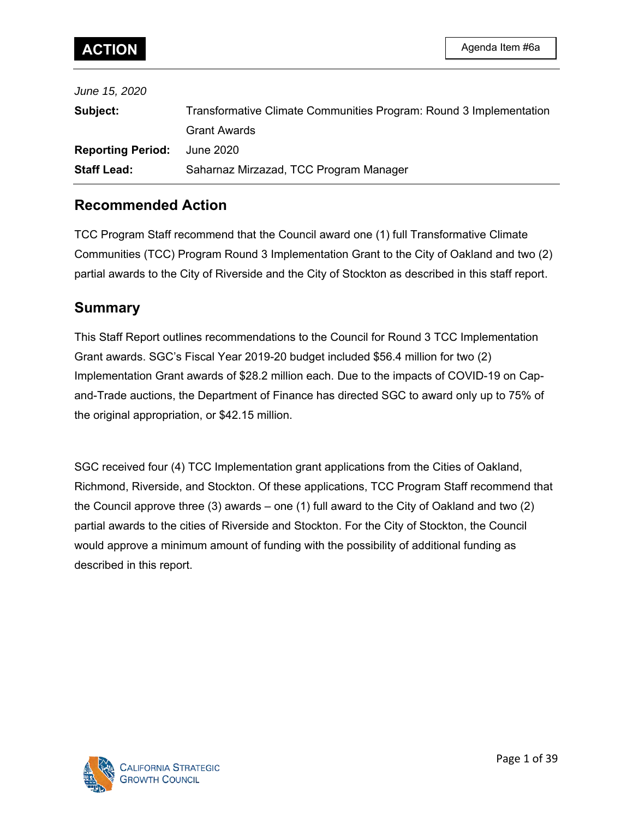| June 15, 2020            |                                                                    |
|--------------------------|--------------------------------------------------------------------|
| Subject:                 | Transformative Climate Communities Program: Round 3 Implementation |
|                          | <b>Grant Awards</b>                                                |
| <b>Reporting Period:</b> | June 2020                                                          |
| <b>Staff Lead:</b>       | Saharnaz Mirzazad, TCC Program Manager                             |
|                          |                                                                    |

# **Recommended Action**

TCC Program Staff recommend that the Council award one (1) full Transformative Climate Communities (TCC) Program Round 3 Implementation Grant to the City of Oakland and two (2) partial awards to the City of Riverside and the City of Stockton as described in this staff report.

# **Summary**

This Staff Report outlines recommendations to the Council for Round 3 TCC Implementation Grant awards. SGC's Fiscal Year 2019-20 budget included \$56.4 million for two (2) Implementation Grant awards of \$28.2 million each. Due to the impacts of COVID-19 on Capand-Trade auctions, the Department of Finance has directed SGC to award only up to 75% of the original appropriation, or \$42.15 million.

SGC received four (4) TCC Implementation grant applications from the Cities of Oakland, Richmond, Riverside, and Stockton. Of these applications, TCC Program Staff recommend that the Council approve three (3) awards – one (1) full award to the City of Oakland and two (2) partial awards to the cities of Riverside and Stockton. For the City of Stockton, the Council would approve a minimum amount of funding with the possibility of additional funding as described in this report.

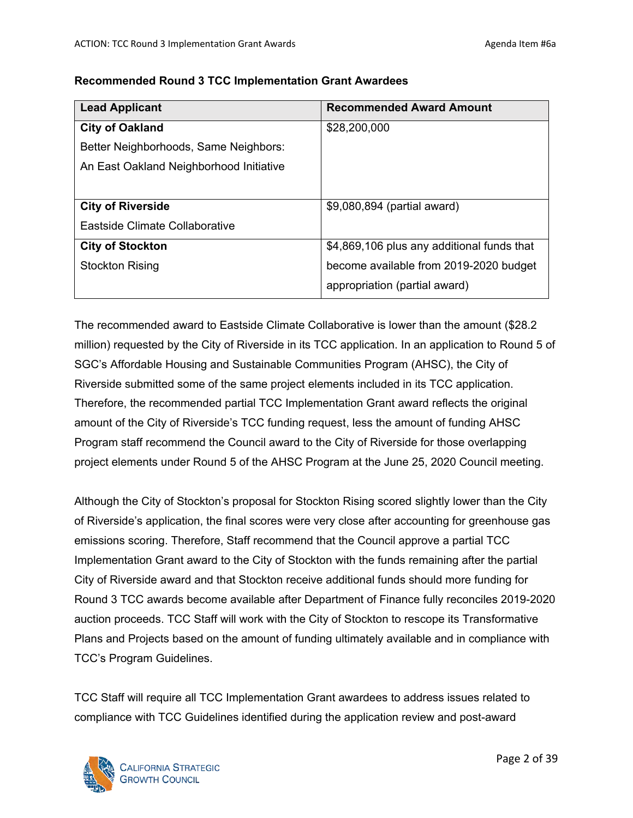| <b>Lead Applicant</b>                   | <b>Recommended Award Amount</b>            |
|-----------------------------------------|--------------------------------------------|
| <b>City of Oakland</b>                  | \$28,200,000                               |
| Better Neighborhoods, Same Neighbors:   |                                            |
| An East Oakland Neighborhood Initiative |                                            |
|                                         |                                            |
| <b>City of Riverside</b>                | \$9,080,894 (partial award)                |
| Eastside Climate Collaborative          |                                            |
| <b>City of Stockton</b>                 | \$4,869,106 plus any additional funds that |
| <b>Stockton Rising</b>                  | become available from 2019-2020 budget     |
|                                         | appropriation (partial award)              |

#### **Recommended Round 3 TCC Implementation Grant Awardees**

The recommended award to Eastside Climate Collaborative is lower than the amount (\$28.2 million) requested by the City of Riverside in its TCC application. In an application to Round 5 of SGC's Affordable Housing and Sustainable Communities Program (AHSC), the City of Riverside submitted some of the same project elements included in its TCC application. Therefore, the recommended partial TCC Implementation Grant award reflects the original amount of the City of Riverside's TCC funding request, less the amount of funding AHSC Program staff recommend the Council award to the City of Riverside for those overlapping project elements under Round 5 of the AHSC Program at the June 25, 2020 Council meeting.

Although the City of Stockton's proposal for Stockton Rising scored slightly lower than the City of Riverside's application, the final scores were very close after accounting for greenhouse gas emissions scoring. Therefore, Staff recommend that the Council approve a partial TCC Implementation Grant award to the City of Stockton with the funds remaining after the partial City of Riverside award and that Stockton receive additional funds should more funding for Round 3 TCC awards become available after Department of Finance fully reconciles 2019-2020 auction proceeds. TCC Staff will work with the City of Stockton to rescope its Transformative Plans and Projects based on the amount of funding ultimately available and in compliance with TCC's Program Guidelines.

TCC Staff will require all TCC Implementation Grant awardees to address issues related to compliance with TCC Guidelines identified during the application review and post-award

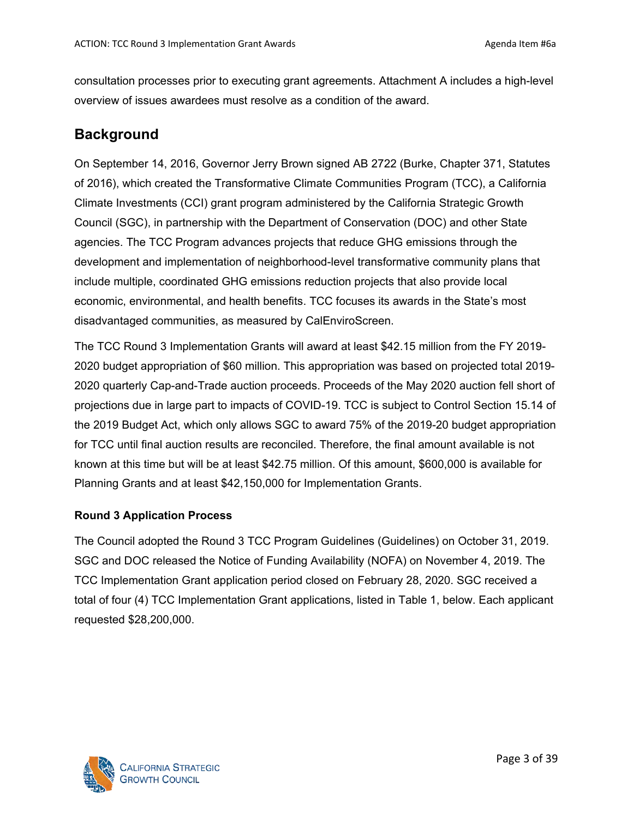consultation processes prior to executing grant agreements. Attachment A includes a high-level overview of issues awardees must resolve as a condition of the award.

# **Background**

On September 14, 2016, Governor Jerry Brown signed AB 2722 (Burke, Chapter 371, Statutes of 2016), which created the Transformative Climate Communities Program (TCC), a California Climate Investments (CCI) grant program administered by the California Strategic Growth Council (SGC), in partnership with the Department of Conservation (DOC) and other State agencies. The TCC Program advances projects that reduce GHG emissions through the development and implementation of neighborhood-level transformative community plans that include multiple, coordinated GHG emissions reduction projects that also provide local economic, environmental, and health benefits. TCC focuses its awards in the State's most disadvantaged communities, as measured by CalEnviroScreen.

The TCC Round 3 Implementation Grants will award at least \$42.15 million from the FY 2019- 2020 budget appropriation of \$60 million. This appropriation was based on projected total 2019- 2020 quarterly Cap-and-Trade auction proceeds. Proceeds of the May 2020 auction fell short of projections due in large part to impacts of COVID-19. TCC is subject to Control Section 15.14 of the 2019 Budget Act, which only allows SGC to award 75% of the 2019-20 budget appropriation for TCC until final auction results are reconciled. Therefore, the final amount available is not known at this time but will be at least \$42.75 million. Of this amount, \$600,000 is available for Planning Grants and at least \$42,150,000 for Implementation Grants.

## **Round 3 Application Process**

The Council adopted the Round 3 TCC Program Guidelines (Guidelines) on October 31, 2019. SGC and DOC released the Notice of Funding Availability (NOFA) on November 4, 2019. The TCC Implementation Grant application period closed on February 28, 2020. SGC received a total of four (4) TCC Implementation Grant applications, listed in Table 1, below. Each applicant requested \$28,200,000.

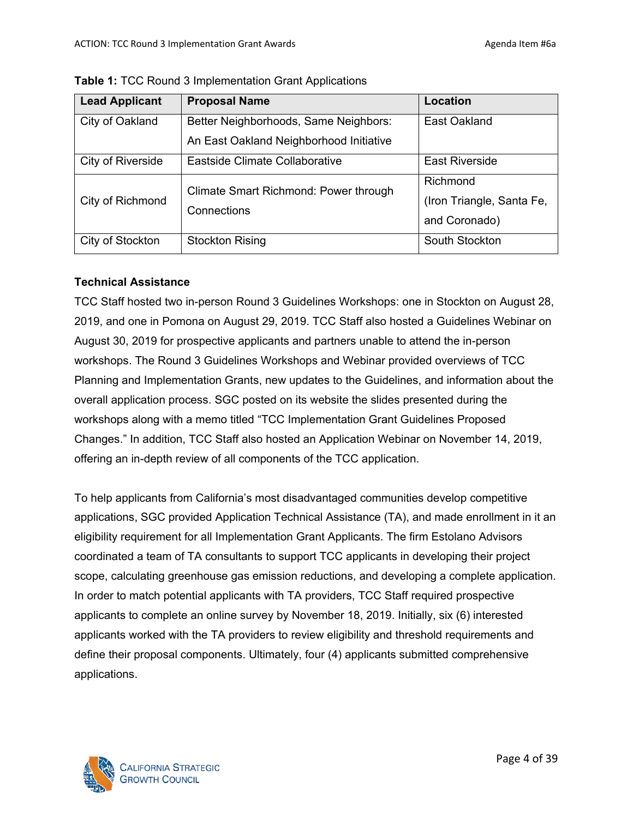| <b>Lead Applicant</b> | <b>Proposal Name</b>                    | Location                  |
|-----------------------|-----------------------------------------|---------------------------|
| City of Oakland       | Better Neighborhoods, Same Neighbors:   | East Oakland              |
|                       | An East Oakland Neighborhood Initiative |                           |
| City of Riverside     | Eastside Climate Collaborative          | <b>East Riverside</b>     |
| City of Richmond      | Climate Smart Richmond: Power through   | Richmond                  |
|                       |                                         | (Iron Triangle, Santa Fe, |
|                       | Connections                             | and Coronado)             |
| City of Stockton      | <b>Stockton Rising</b>                  | South Stockton            |

**Table 1:** TCC Round 3 Implementation Grant Applications

## **Technical Assistance**

TCC Staff hosted two in-person Round 3 Guidelines Workshops: one in Stockton on August 28, 2019, and one in Pomona on August 29, 2019. TCC Staff also hosted a Guidelines Webinar on August 30, 2019 for prospective applicants and partners unable to attend the in-person workshops. The Round 3 Guidelines Workshops and Webinar provided overviews of TCC Planning and Implementation Grants, new updates to the Guidelines, and information about the overall application process. SGC posted on its website the slides presented during the workshops along with a memo titled "TCC Implementation Grant Guidelines Proposed Changes." In addition, TCC Staff also hosted an Application Webinar on November 14, 2019, offering an in-depth review of all components of the TCC application.

To help applicants from California's most disadvantaged communities develop competitive applications, SGC provided Application Technical Assistance (TA), and made enrollment in it an eligibility requirement for all Implementation Grant Applicants. The firm Estolano Advisors coordinated a team of TA consultants to support TCC applicants in developing their project scope, calculating greenhouse gas emission reductions, and developing a complete application. In order to match potential applicants with TA providers, TCC Staff required prospective applicants to complete an online survey by November 18, 2019. Initially, six (6) interested applicants worked with the TA providers to review eligibility and threshold requirements and define their proposal components. Ultimately, four (4) applicants submitted comprehensive applications.

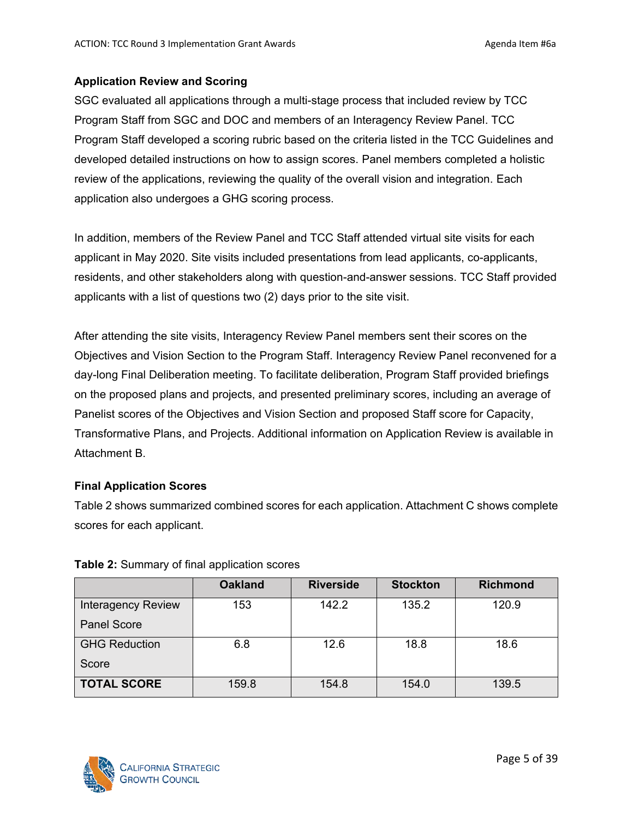#### **Application Review and Scoring**

SGC evaluated all applications through a multi-stage process that included review by TCC Program Staff from SGC and DOC and members of an Interagency Review Panel. TCC Program Staff developed a scoring rubric based on the criteria listed in the TCC Guidelines and developed detailed instructions on how to assign scores. Panel members completed a holistic review of the applications, reviewing the quality of the overall vision and integration. Each application also undergoes a GHG scoring process.

In addition, members of the Review Panel and TCC Staff attended virtual site visits for each applicant in May 2020. Site visits included presentations from lead applicants, co-applicants, residents, and other stakeholders along with question-and-answer sessions. TCC Staff provided applicants with a list of questions two (2) days prior to the site visit.

After attending the site visits, Interagency Review Panel members sent their scores on the Objectives and Vision Section to the Program Staff. Interagency Review Panel reconvened for a day-long Final Deliberation meeting. To facilitate deliberation, Program Staff provided briefings on the proposed plans and projects, and presented preliminary scores, including an average of Panelist scores of the Objectives and Vision Section and proposed Staff score for Capacity, Transformative Plans, and Projects. Additional information on Application Review is available in Attachment B.

## **Final Application Scores**

Table 2 shows summarized combined scores for each application. Attachment C shows complete scores for each applicant.

|                           | <b>Oakland</b> | <b>Riverside</b> | <b>Stockton</b> | <b>Richmond</b> |
|---------------------------|----------------|------------------|-----------------|-----------------|
| <b>Interagency Review</b> | 153            | 142.2            | 135.2           | 120.9           |
| <b>Panel Score</b>        |                |                  |                 |                 |
| <b>GHG Reduction</b>      | 6.8            | 12.6             | 18.8            | 18.6            |
| Score                     |                |                  |                 |                 |
| <b>TOTAL SCORE</b>        | 159.8          | 154.8            | 154.0           | 139.5           |

## **Table 2:** Summary of final application scores

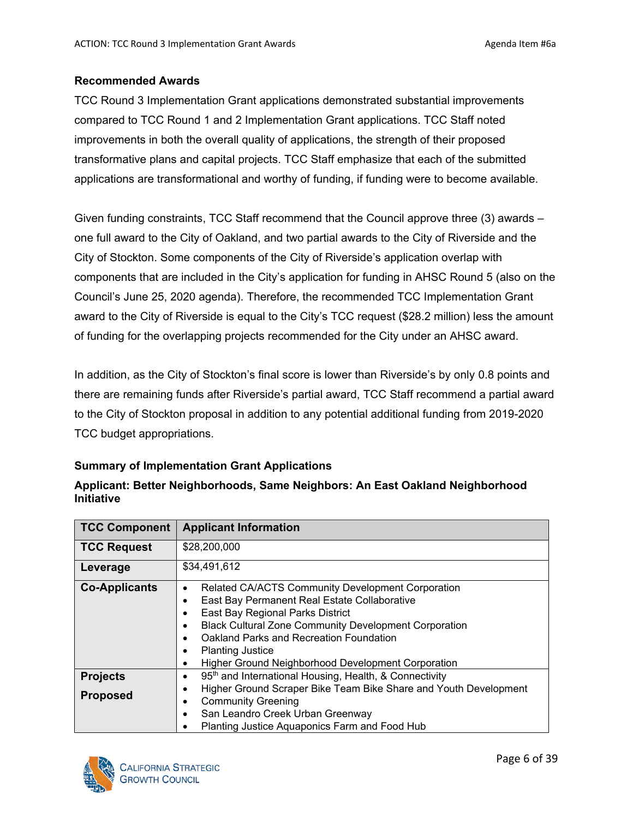#### **Recommended Awards**

TCC Round 3 Implementation Grant applications demonstrated substantial improvements compared to TCC Round 1 and 2 Implementation Grant applications. TCC Staff noted improvements in both the overall quality of applications, the strength of their proposed transformative plans and capital projects. TCC Staff emphasize that each of the submitted applications are transformational and worthy of funding, if funding were to become available.

Given funding constraints, TCC Staff recommend that the Council approve three (3) awards – one full award to the City of Oakland, and two partial awards to the City of Riverside and the City of Stockton. Some components of the City of Riverside's application overlap with components that are included in the City's application for funding in AHSC Round 5 (also on the Council's June 25, 2020 agenda). Therefore, the recommended TCC Implementation Grant award to the City of Riverside is equal to the City's TCC request (\$28.2 million) less the amount of funding for the overlapping projects recommended for the City under an AHSC award.

In addition, as the City of Stockton's final score is lower than Riverside's by only 0.8 points and there are remaining funds after Riverside's partial award, TCC Staff recommend a partial award to the City of Stockton proposal in addition to any potential additional funding from 2019-2020 TCC budget appropriations.

## **Summary of Implementation Grant Applications**

| <b>TCC Component</b>               | <b>Applicant Information</b>                                                                                                                                                                                                                                                                                                                                                                           |
|------------------------------------|--------------------------------------------------------------------------------------------------------------------------------------------------------------------------------------------------------------------------------------------------------------------------------------------------------------------------------------------------------------------------------------------------------|
| <b>TCC Request</b>                 | \$28,200,000                                                                                                                                                                                                                                                                                                                                                                                           |
| Leverage                           | \$34,491,612                                                                                                                                                                                                                                                                                                                                                                                           |
| <b>Co-Applicants</b>               | Related CA/ACTS Community Development Corporation<br>٠<br>East Bay Permanent Real Estate Collaborative<br>$\bullet$<br>East Bay Regional Parks District<br><b>Black Cultural Zone Community Development Corporation</b><br>$\bullet$<br>Oakland Parks and Recreation Foundation<br>$\bullet$<br><b>Planting Justice</b><br>$\bullet$<br><b>Higher Ground Neighborhood Development Corporation</b><br>٠ |
| <b>Projects</b><br><b>Proposed</b> | 95 <sup>th</sup> and International Housing, Health, & Connectivity<br>$\bullet$<br>Higher Ground Scraper Bike Team Bike Share and Youth Development<br>٠<br><b>Community Greening</b><br>$\bullet$<br>San Leandro Creek Urban Greenway<br>$\bullet$<br>Planting Justice Aquaponics Farm and Food Hub                                                                                                   |

## **Applicant: Better Neighborhoods, Same Neighbors: An East Oakland Neighborhood Initiative**

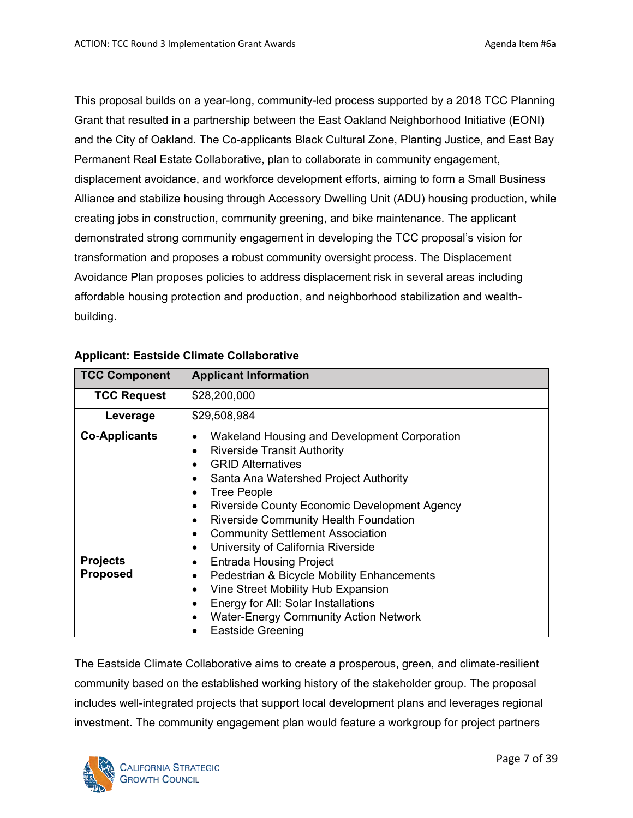This proposal builds on a year-long, community-led process supported by a 2018 TCC Planning Grant that resulted in a partnership between the East Oakland Neighborhood Initiative (EONI) and the City of Oakland. The Co-applicants Black Cultural Zone, Planting Justice, and East Bay Permanent Real Estate Collaborative, plan to collaborate in community engagement, displacement avoidance, and workforce development efforts, aiming to form a Small Business Alliance and stabilize housing through Accessory Dwelling Unit (ADU) housing production, while creating jobs in construction, community greening, and bike maintenance. The applicant demonstrated strong community engagement in developing the TCC proposal's vision for transformation and proposes a robust community oversight process. The Displacement Avoidance Plan proposes policies to address displacement risk in several areas including affordable housing protection and production, and neighborhood stabilization and wealthbuilding.

| <b>TCC Component</b>               | <b>Applicant Information</b>                                                                                                                                                                                                                                                                                                                                                       |  |  |  |
|------------------------------------|------------------------------------------------------------------------------------------------------------------------------------------------------------------------------------------------------------------------------------------------------------------------------------------------------------------------------------------------------------------------------------|--|--|--|
| <b>TCC Request</b>                 | \$28,200,000                                                                                                                                                                                                                                                                                                                                                                       |  |  |  |
| Leverage                           | \$29,508,984                                                                                                                                                                                                                                                                                                                                                                       |  |  |  |
| <b>Co-Applicants</b>               | Wakeland Housing and Development Corporation<br><b>Riverside Transit Authority</b><br><b>GRID Alternatives</b><br>Santa Ana Watershed Project Authority<br><b>Tree People</b><br><b>Riverside County Economic Development Agency</b><br><b>Riverside Community Health Foundation</b><br><b>Community Settlement Association</b><br>University of California Riverside<br>$\bullet$ |  |  |  |
| <b>Projects</b><br><b>Proposed</b> | <b>Entrada Housing Project</b><br>$\bullet$<br>Pedestrian & Bicycle Mobility Enhancements<br>Vine Street Mobility Hub Expansion<br>Energy for All: Solar Installations<br><b>Water-Energy Community Action Network</b><br><b>Eastside Greening</b>                                                                                                                                 |  |  |  |

#### **Applicant: Eastside Climate Collaborative**

The Eastside Climate Collaborative aims to create a prosperous, green, and climate-resilient community based on the established working history of the stakeholder group. The proposal includes well-integrated projects that support local development plans and leverages regional investment. The community engagement plan would feature a workgroup for project partners

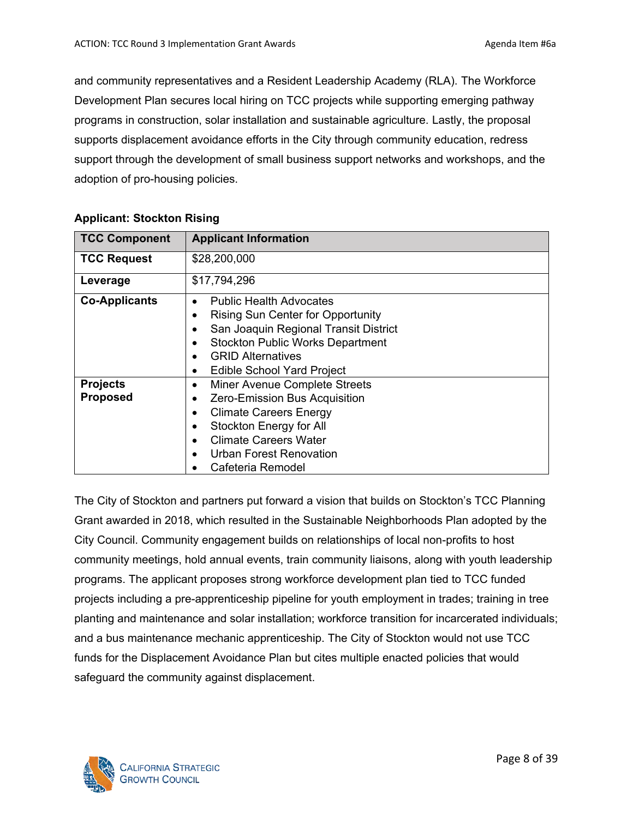and community representatives and a Resident Leadership Academy (RLA). The Workforce Development Plan secures local hiring on TCC projects while supporting emerging pathway programs in construction, solar installation and sustainable agriculture. Lastly, the proposal supports displacement avoidance efforts in the City through community education, redress support through the development of small business support networks and workshops, and the adoption of pro-housing policies.

| <b>TCC Component</b>               | <b>Applicant Information</b>                                                                                                                                                                                                                 |
|------------------------------------|----------------------------------------------------------------------------------------------------------------------------------------------------------------------------------------------------------------------------------------------|
| <b>TCC Request</b>                 | \$28,200,000                                                                                                                                                                                                                                 |
| Leverage                           | \$17,794,296                                                                                                                                                                                                                                 |
| <b>Co-Applicants</b>               | <b>Public Health Advocates</b><br>$\bullet$<br><b>Rising Sun Center for Opportunity</b><br>San Joaquin Regional Transit District<br><b>Stockton Public Works Department</b><br><b>GRID Alternatives</b><br><b>Edible School Yard Project</b> |
| <b>Projects</b><br><b>Proposed</b> | Miner Avenue Complete Streets<br>٠<br>Zero-Emission Bus Acquisition<br><b>Climate Careers Energy</b><br>Stockton Energy for All<br><b>Climate Careers Water</b><br>Urban Forest Renovation<br>Cafeteria Remodel                              |

## **Applicant: Stockton Rising**

The City of Stockton and partners put forward a vision that builds on Stockton's TCC Planning Grant awarded in 2018, which resulted in the Sustainable Neighborhoods Plan adopted by the City Council. Community engagement builds on relationships of local non-profits to host community meetings, hold annual events, train community liaisons, along with youth leadership programs. The applicant proposes strong workforce development plan tied to TCC funded projects including a pre-apprenticeship pipeline for youth employment in trades; training in tree planting and maintenance and solar installation; workforce transition for incarcerated individuals; and a bus maintenance mechanic apprenticeship. The City of Stockton would not use TCC funds for the Displacement Avoidance Plan but cites multiple enacted policies that would safeguard the community against displacement.

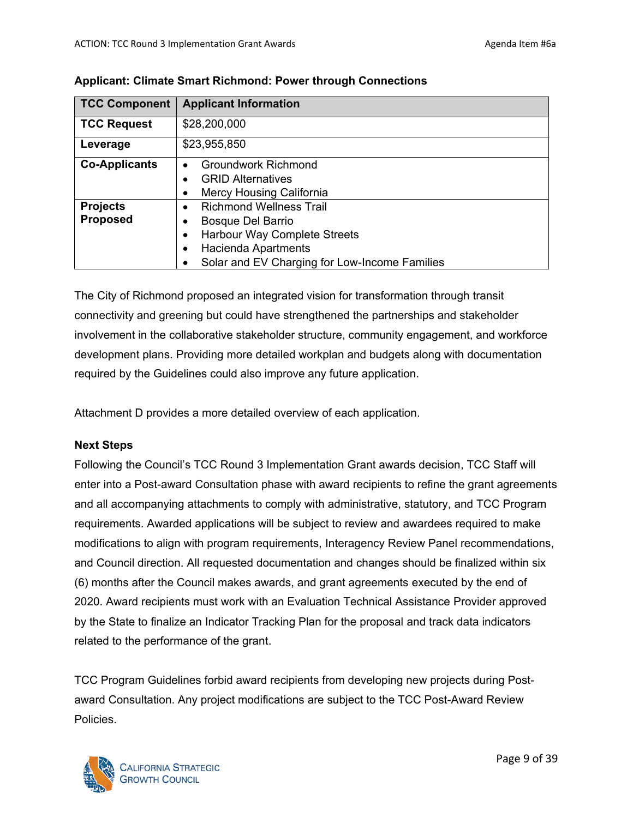| <b>TCC Component</b> | <b>Applicant Information</b>                  |  |  |  |  |
|----------------------|-----------------------------------------------|--|--|--|--|
| <b>TCC Request</b>   | \$28,200,000                                  |  |  |  |  |
| Leverage             | \$23,955,850                                  |  |  |  |  |
| <b>Co-Applicants</b> | <b>Groundwork Richmond</b><br>$\bullet$       |  |  |  |  |
|                      | <b>GRID Alternatives</b>                      |  |  |  |  |
|                      | Mercy Housing California                      |  |  |  |  |
| <b>Projects</b>      | <b>Richmond Wellness Trail</b>                |  |  |  |  |
| <b>Proposed</b>      | Bosque Del Barrio                             |  |  |  |  |
|                      | Harbour Way Complete Streets<br>٠             |  |  |  |  |
|                      | <b>Hacienda Apartments</b><br>٠               |  |  |  |  |
|                      | Solar and EV Charging for Low-Income Families |  |  |  |  |

**Applicant: Climate Smart Richmond: Power through Connections**

The City of Richmond proposed an integrated vision for transformation through transit connectivity and greening but could have strengthened the partnerships and stakeholder involvement in the collaborative stakeholder structure, community engagement, and workforce development plans. Providing more detailed workplan and budgets along with documentation required by the Guidelines could also improve any future application.

Attachment D provides a more detailed overview of each application.

## **Next Steps**

Following the Council's TCC Round 3 Implementation Grant awards decision, TCC Staff will enter into a Post-award Consultation phase with award recipients to refine the grant agreements and all accompanying attachments to comply with administrative, statutory, and TCC Program requirements. Awarded applications will be subject to review and awardees required to make modifications to align with program requirements, Interagency Review Panel recommendations, and Council direction. All requested documentation and changes should be finalized within six (6) months after the Council makes awards, and grant agreements executed by the end of 2020. Award recipients must work with an Evaluation Technical Assistance Provider approved by the State to finalize an Indicator Tracking Plan for the proposal and track data indicators related to the performance of the grant.

TCC Program Guidelines forbid award recipients from developing new projects during Postaward Consultation. Any project modifications are subject to the TCC Post-Award Review Policies.

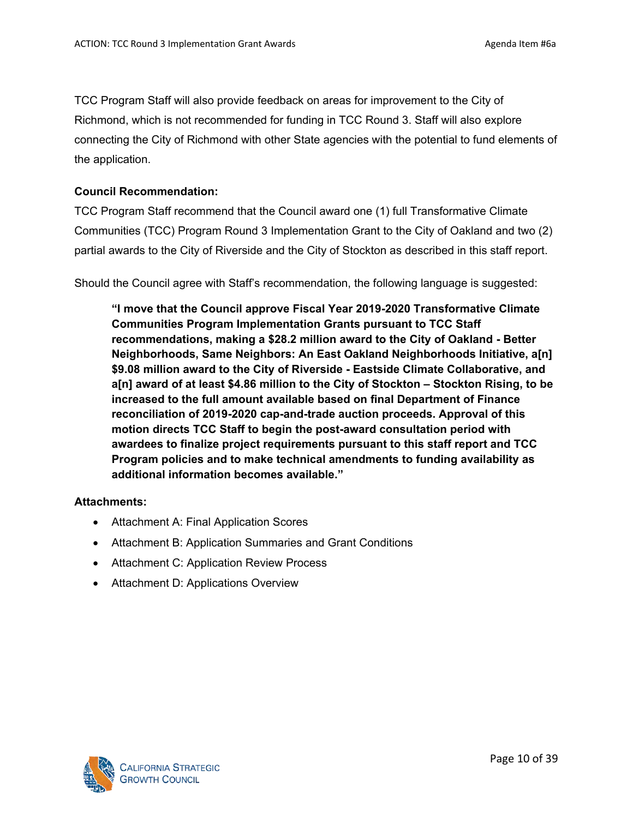TCC Program Staff will also provide feedback on areas for improvement to the City of Richmond, which is not recommended for funding in TCC Round 3. Staff will also explore connecting the City of Richmond with other State agencies with the potential to fund elements of the application.

#### **Council Recommendation:**

TCC Program Staff recommend that the Council award one (1) full Transformative Climate Communities (TCC) Program Round 3 Implementation Grant to the City of Oakland and two (2) partial awards to the City of Riverside and the City of Stockton as described in this staff report.

Should the Council agree with Staff's recommendation, the following language is suggested:

**"I move that the Council approve Fiscal Year 2019-2020 Transformative Climate Communities Program Implementation Grants pursuant to TCC Staff recommendations, making a \$28.2 million award to the City of Oakland - Better Neighborhoods, Same Neighbors: An East Oakland Neighborhoods Initiative, a[n] \$9.08 million award to the City of Riverside - Eastside Climate Collaborative, and a[n] award of at least \$4.86 million to the City of Stockton – Stockton Rising, to be increased to the full amount available based on final Department of Finance reconciliation of 2019-2020 cap-and-trade auction proceeds. Approval of this motion directs TCC Staff to begin the post-award consultation period with awardees to finalize project requirements pursuant to this staff report and TCC Program policies and to make technical amendments to funding availability as additional information becomes available."**

#### **Attachments:**

- Attachment A: Final Application Scores
- Attachment B: Application Summaries and Grant Conditions
- Attachment C: Application Review Process
- Attachment D: Applications Overview

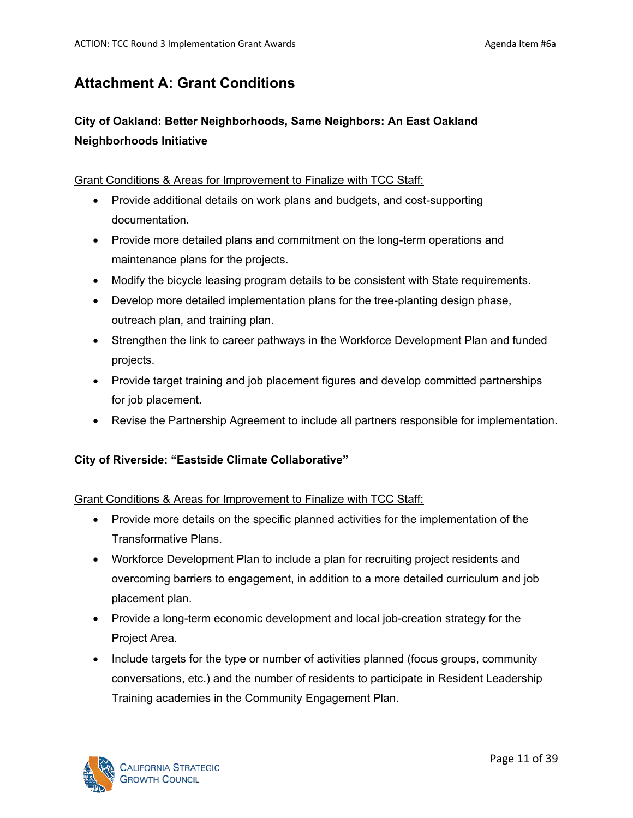# **Attachment A: Grant Conditions**

# **City of Oakland: Better Neighborhoods, Same Neighbors: An East Oakland Neighborhoods Initiative**

#### Grant Conditions & Areas for Improvement to Finalize with TCC Staff:

- Provide additional details on work plans and budgets, and cost-supporting documentation.
- Provide more detailed plans and commitment on the long-term operations and maintenance plans for the projects.
- Modify the bicycle leasing program details to be consistent with State requirements.
- Develop more detailed implementation plans for the tree-planting design phase, outreach plan, and training plan.
- Strengthen the link to career pathways in the Workforce Development Plan and funded projects.
- Provide target training and job placement figures and develop committed partnerships for job placement.
- Revise the Partnership Agreement to include all partners responsible for implementation.

## **City of Riverside: "Eastside Climate Collaborative"**

## Grant Conditions & Areas for Improvement to Finalize with TCC Staff:

- Provide more details on the specific planned activities for the implementation of the Transformative Plans.
- Workforce Development Plan to include a plan for recruiting project residents and overcoming barriers to engagement, in addition to a more detailed curriculum and job placement plan.
- Provide a long-term economic development and local job-creation strategy for the Project Area.
- Include targets for the type or number of activities planned (focus groups, community conversations, etc.) and the number of residents to participate in Resident Leadership Training academies in the Community Engagement Plan.

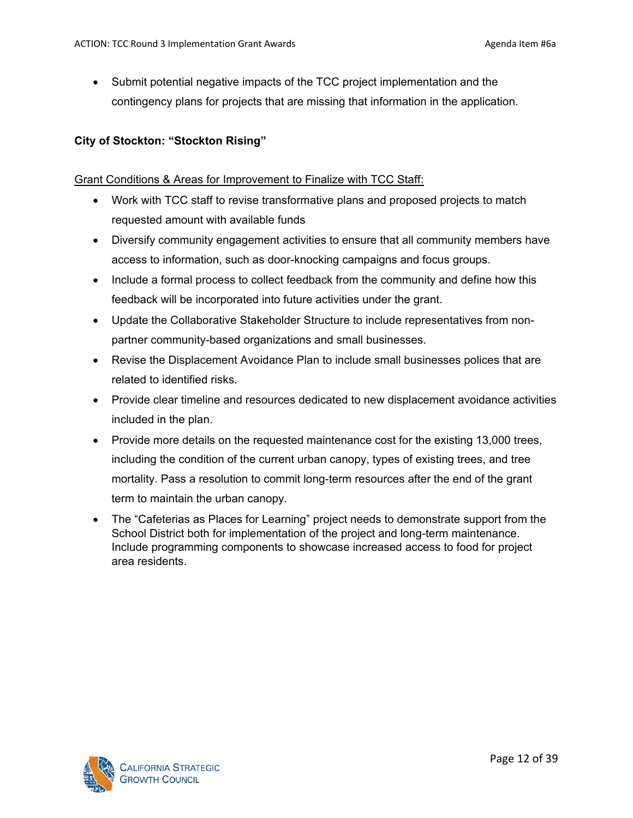• Submit potential negative impacts of the TCC project implementation and the contingency plans for projects that are missing that information in the application.

## **City of Stockton: "Stockton Rising"**

#### Grant Conditions & Areas for Improvement to Finalize with TCC Staff:

- Work with TCC staff to revise transformative plans and proposed projects to match requested amount with available funds
- Diversify community engagement activities to ensure that all community members have access to information, such as door-knocking campaigns and focus groups.
- Include a formal process to collect feedback from the community and define how this feedback will be incorporated into future activities under the grant.
- Update the Collaborative Stakeholder Structure to include representatives from nonpartner community-based organizations and small businesses.
- Revise the Displacement Avoidance Plan to include small businesses polices that are related to identified risks.
- Provide clear timeline and resources dedicated to new displacement avoidance activities included in the plan.
- Provide more details on the requested maintenance cost for the existing 13,000 trees, including the condition of the current urban canopy, types of existing trees, and tree mortality. Pass a resolution to commit long-term resources after the end of the grant term to maintain the urban canopy.
- The "Cafeterias as Places for Learning" project needs to demonstrate support from the School District both for implementation of the project and long-term maintenance. Include programming components to showcase increased access to food for project area residents.

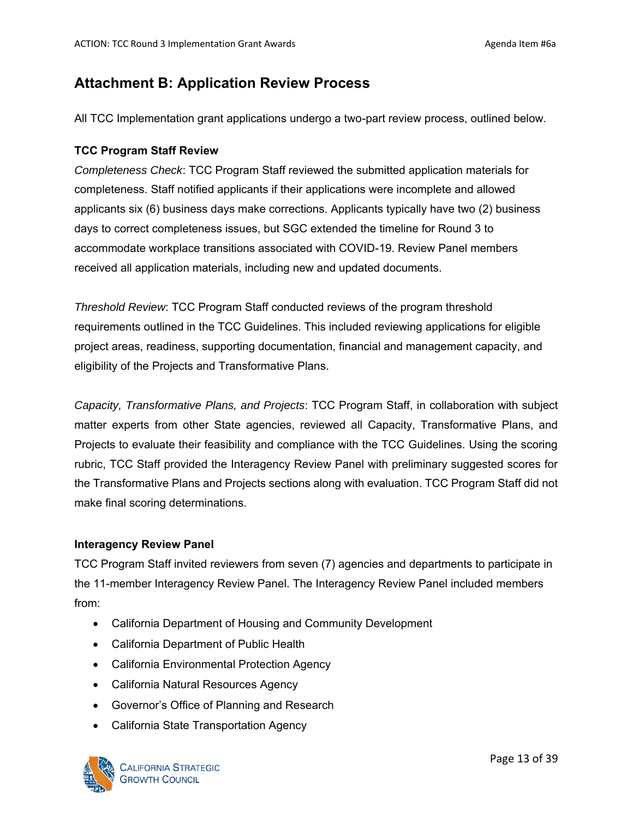# **Attachment B: Application Review Process**

All TCC Implementation grant applications undergo a two-part review process, outlined below.

## **TCC Program Staff Review**

*Completeness Check*: TCC Program Staff reviewed the submitted application materials for completeness. Staff notified applicants if their applications were incomplete and allowed applicants six (6) business days make corrections. Applicants typically have two (2) business days to correct completeness issues, but SGC extended the timeline for Round 3 to accommodate workplace transitions associated with COVID-19. Review Panel members received all application materials, including new and updated documents.

*Threshold Review*: TCC Program Staff conducted reviews of the program threshold requirements outlined in the TCC Guidelines. This included reviewing applications for eligible project areas, readiness, supporting documentation, financial and management capacity, and eligibility of the Projects and Transformative Plans.

*Capacity, Transformative Plans, and Projects*: TCC Program Staff, in collaboration with subject matter experts from other State agencies, reviewed all Capacity, Transformative Plans, and Projects to evaluate their feasibility and compliance with the TCC Guidelines. Using the scoring rubric, TCC Staff provided the Interagency Review Panel with preliminary suggested scores for the Transformative Plans and Projects sections along with evaluation. TCC Program Staff did not make final scoring determinations.

## **Interagency Review Panel**

TCC Program Staff invited reviewers from seven (7) agencies and departments to participate in the 11-member Interagency Review Panel. The Interagency Review Panel included members from:

- California Department of Housing and Community Development
- California Department of Public Health
- California Environmental Protection Agency
- California Natural Resources Agency
- Governor's Office of Planning and Research
- California State Transportation Agency

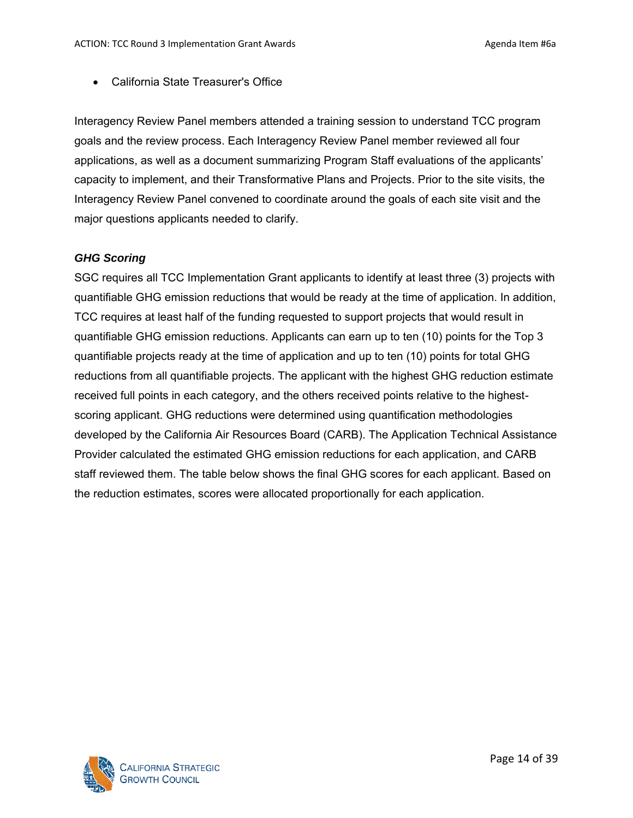• California State Treasurer's Office

Interagency Review Panel members attended a training session to understand TCC program goals and the review process. Each Interagency Review Panel member reviewed all four applications, as well as a document summarizing Program Staff evaluations of the applicants' capacity to implement, and their Transformative Plans and Projects. Prior to the site visits, the Interagency Review Panel convened to coordinate around the goals of each site visit and the major questions applicants needed to clarify.

#### *GHG Scoring*

SGC requires all TCC Implementation Grant applicants to identify at least three (3) projects with quantifiable GHG emission reductions that would be ready at the time of application. In addition, TCC requires at least half of the funding requested to support projects that would result in quantifiable GHG emission reductions. Applicants can earn up to ten (10) points for the Top 3 quantifiable projects ready at the time of application and up to ten (10) points for total GHG reductions from all quantifiable projects. The applicant with the highest GHG reduction estimate received full points in each category, and the others received points relative to the highestscoring applicant. GHG reductions were determined using quantification methodologies developed by the California Air Resources Board (CARB). The Application Technical Assistance Provider calculated the estimated GHG emission reductions for each application, and CARB staff reviewed them. The table below shows the final GHG scores for each applicant. Based on the reduction estimates, scores were allocated proportionally for each application.

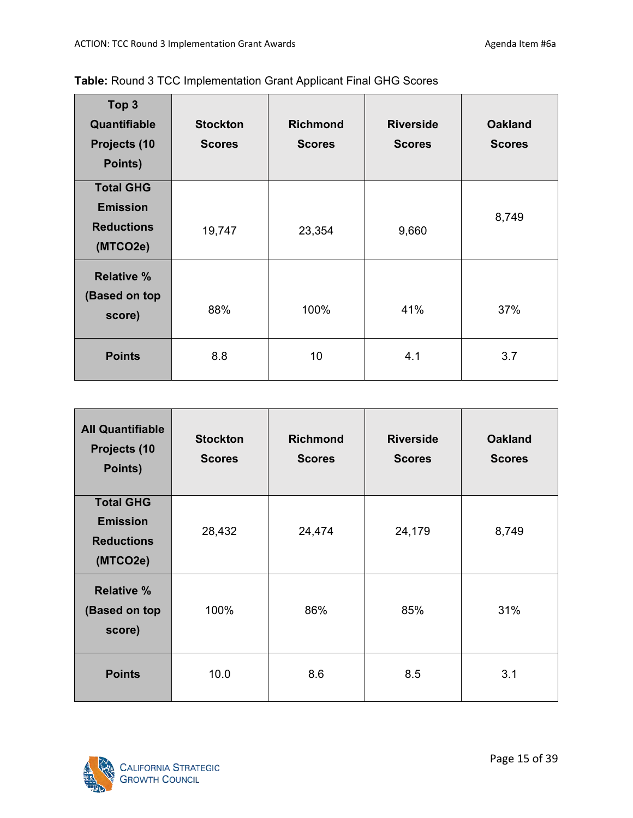| Top <sub>3</sub><br>Quantifiable<br>Projects (10<br>Points) | <b>Stockton</b><br><b>Scores</b> | <b>Richmond</b><br><b>Scores</b> | <b>Riverside</b><br><b>Scores</b> | <b>Oakland</b><br><b>Scores</b> |
|-------------------------------------------------------------|----------------------------------|----------------------------------|-----------------------------------|---------------------------------|
| <b>Total GHG</b>                                            |                                  |                                  |                                   |                                 |
| <b>Emission</b><br><b>Reductions</b><br>(MTCO2e)            | 19,747                           | 23,354                           | 9,660                             | 8,749                           |
| <b>Relative %</b><br>(Based on top<br>score)                | 88%                              | 100%                             | 41%                               | 37%                             |
| <b>Points</b>                                               | 8.8                              | 10                               | 4.1                               | 3.7                             |

| <b>All Quantifiable</b><br>Projects (10<br>Points)                   | <b>Stockton</b><br><b>Scores</b> | <b>Richmond</b><br><b>Scores</b> | <b>Riverside</b><br><b>Scores</b> | <b>Oakland</b><br><b>Scores</b> |  |
|----------------------------------------------------------------------|----------------------------------|----------------------------------|-----------------------------------|---------------------------------|--|
| <b>Total GHG</b><br><b>Emission</b><br><b>Reductions</b><br>(MTCO2e) | 28,432                           | 24,474                           | 24,179                            | 8,749                           |  |
| <b>Relative %</b><br>(Based on top<br>score)                         | 100%                             | 86%                              | 85%                               | 31%                             |  |
| <b>Points</b>                                                        | 10.0                             | 8.6                              | 8.5                               | 3.1                             |  |

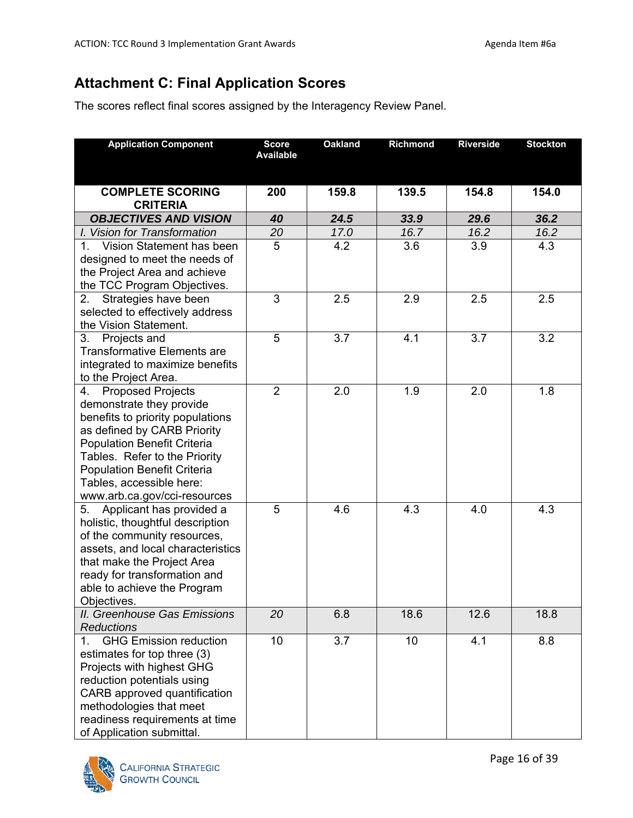# **Attachment C: Final Application Scores**

The scores reflect final scores assigned by the Interagency Review Panel.

| <b>Application Component</b>                                 | <b>Score</b><br><b>Available</b> | <b>Oakland</b> | <b>Richmond</b> | <b>Riverside</b> | <b>Stockton</b> |
|--------------------------------------------------------------|----------------------------------|----------------|-----------------|------------------|-----------------|
|                                                              |                                  |                |                 |                  |                 |
| <b>COMPLETE SCORING</b>                                      | 200                              | 159.8          | 139.5           | 154.8            | 154.0           |
| <b>CRITERIA</b>                                              |                                  |                |                 |                  |                 |
| <b>OBJECTIVES AND VISION</b>                                 | 40                               | 24.5           | 33.9            | 29.6             | 36.2            |
| I. Vision for Transformation                                 | 20                               | 17.0           | 16.7            | 16.2             | 16.2            |
| 1. Vision Statement has been                                 | 5                                | 4.2            | 3.6             | 3.9              | 4.3             |
| designed to meet the needs of                                |                                  |                |                 |                  |                 |
| the Project Area and achieve                                 |                                  |                |                 |                  |                 |
| the TCC Program Objectives.                                  |                                  |                |                 |                  |                 |
| Strategies have been<br>2.                                   | 3                                | 2.5            | 2.9             | 2.5              | 2.5             |
| selected to effectively address                              |                                  |                |                 |                  |                 |
| the Vision Statement.                                        |                                  |                |                 |                  |                 |
| Projects and<br>3.                                           | 5                                | 3.7            | 4.1             | 3.7              | 3.2             |
| <b>Transformative Elements are</b>                           |                                  |                |                 |                  |                 |
| integrated to maximize benefits                              |                                  |                |                 |                  |                 |
| to the Project Area.                                         |                                  |                |                 |                  |                 |
| <b>Proposed Projects</b><br>4.                               | $\overline{2}$                   | 2.0            | 1.9             | 2.0              | 1.8             |
| demonstrate they provide<br>benefits to priority populations |                                  |                |                 |                  |                 |
| as defined by CARB Priority                                  |                                  |                |                 |                  |                 |
| <b>Population Benefit Criteria</b>                           |                                  |                |                 |                  |                 |
| Tables. Refer to the Priority                                |                                  |                |                 |                  |                 |
| <b>Population Benefit Criteria</b>                           |                                  |                |                 |                  |                 |
| Tables, accessible here:                                     |                                  |                |                 |                  |                 |
| www.arb.ca.gov/cci-resources                                 |                                  |                |                 |                  |                 |
| Applicant has provided a<br>5.                               | 5                                | 4.6            | 4.3             | 4.0              | 4.3             |
| holistic, thoughtful description                             |                                  |                |                 |                  |                 |
| of the community resources,                                  |                                  |                |                 |                  |                 |
| assets, and local characteristics                            |                                  |                |                 |                  |                 |
| that make the Project Area                                   |                                  |                |                 |                  |                 |
| ready for transformation and                                 |                                  |                |                 |                  |                 |
| able to achieve the Program                                  |                                  |                |                 |                  |                 |
| Objectives.                                                  |                                  |                |                 |                  |                 |
| <b>II. Greenhouse Gas Emissions</b>                          | 20                               | 6.8            | 18.6            | 12.6             | 18.8            |
| <b>Reductions</b>                                            |                                  |                |                 |                  |                 |
| <b>GHG Emission reduction</b><br>1.                          | 10                               | 3.7            | 10              | 4.1              | 8.8             |
| estimates for top three (3)                                  |                                  |                |                 |                  |                 |
| Projects with highest GHG                                    |                                  |                |                 |                  |                 |
| reduction potentials using                                   |                                  |                |                 |                  |                 |
| CARB approved quantification                                 |                                  |                |                 |                  |                 |
| methodologies that meet                                      |                                  |                |                 |                  |                 |
| readiness requirements at time                               |                                  |                |                 |                  |                 |
| of Application submittal.                                    |                                  |                |                 |                  |                 |

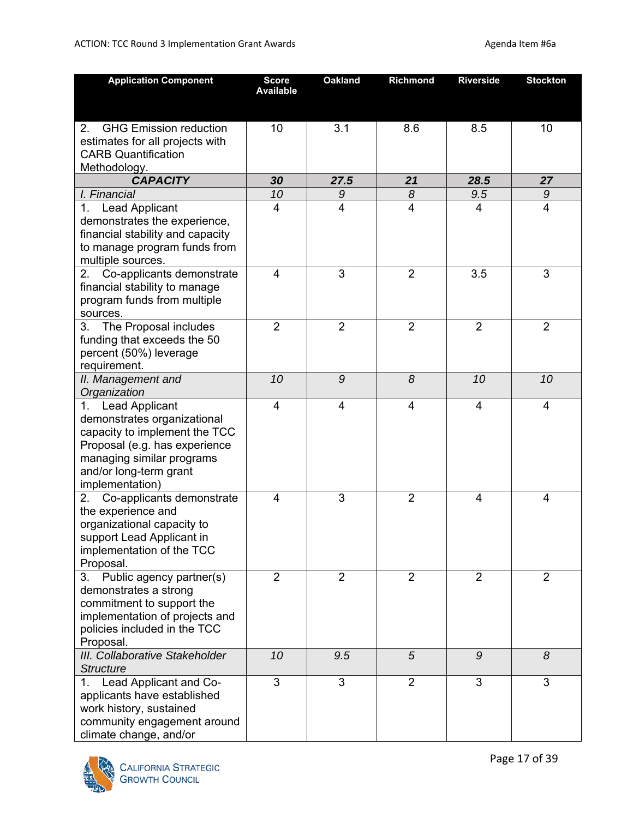| <b>Application Component</b>                                                                                                                                                                 | <b>Score</b><br><b>Available</b> | <b>Oakland</b> | Richmond       | <b>Riverside</b> | <b>Stockton</b> |
|----------------------------------------------------------------------------------------------------------------------------------------------------------------------------------------------|----------------------------------|----------------|----------------|------------------|-----------------|
| <b>GHG Emission reduction</b><br>2.<br>estimates for all projects with<br><b>CARB Quantification</b><br>Methodology.                                                                         | 10                               | 3.1            | 8.6            | 8.5              | 10              |
| <b>CAPACITY</b>                                                                                                                                                                              | 30                               | 27.5           | 21             | 28.5             | 27              |
| I. Financial                                                                                                                                                                                 | 10                               | 9              | 8              | 9.5              | 9               |
| 1. Lead Applicant<br>demonstrates the experience,<br>financial stability and capacity<br>to manage program funds from<br>multiple sources.                                                   | 4                                | 4              | 4              | 4                | 4               |
| Co-applicants demonstrate<br>2.<br>financial stability to manage<br>program funds from multiple<br>sources.                                                                                  | 4                                | 3              | $\overline{2}$ | 3.5              | 3               |
| 3. The Proposal includes<br>funding that exceeds the 50<br>percent (50%) leverage<br>requirement.                                                                                            | $\overline{2}$                   | $\overline{2}$ | $\overline{2}$ | $\overline{2}$   | $\overline{2}$  |
| II. Management and<br>Organization                                                                                                                                                           | 10                               | 9              | 8              | 10               | 10              |
| 1. Lead Applicant<br>demonstrates organizational<br>capacity to implement the TCC<br>Proposal (e.g. has experience<br>managing similar programs<br>and/or long-term grant<br>implementation) | $\overline{4}$                   | 4              | 4              | 4                | $\overline{4}$  |
| 2. Co-applicants demonstrate<br>the experience and<br>organizational capacity to<br>support Lead Applicant in<br>implementation of the TCC<br>Proposal.                                      | 4                                | 3              | $\overline{2}$ | $\overline{4}$   | 4               |
| Public agency partner(s)<br>3.<br>demonstrates a strong<br>commitment to support the<br>implementation of projects and<br>policies included in the TCC<br>Proposal.                          | $\overline{2}$                   | $\overline{2}$ | $\overline{2}$ | $\overline{2}$   | $\overline{2}$  |
| III. Collaborative Stakeholder<br><b>Structure</b>                                                                                                                                           | 10                               | 9.5            | 5              | 9                | 8               |
| 1. Lead Applicant and Co-<br>applicants have established<br>work history, sustained<br>community engagement around<br>climate change, and/or                                                 | 3                                | 3              | $\overline{2}$ | 3                | 3               |

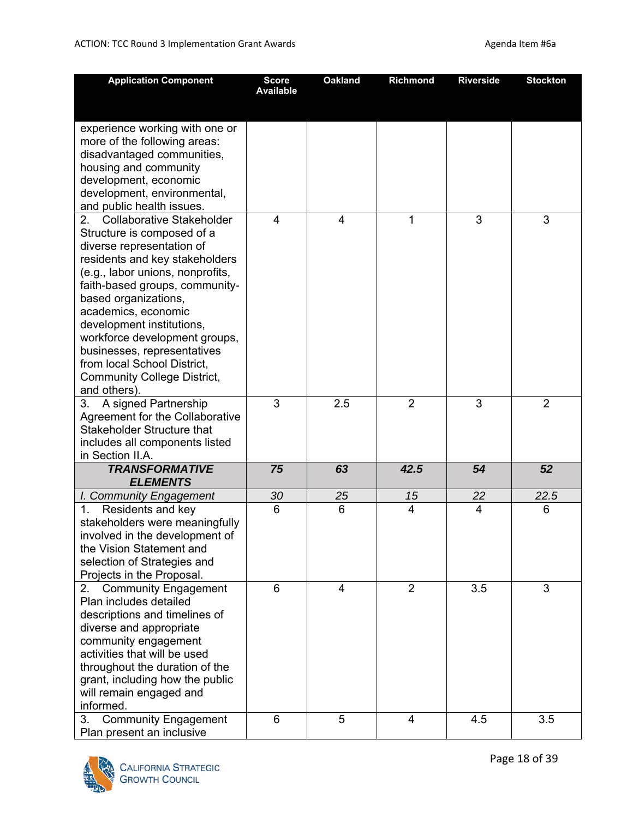| <b>Application Component</b>                                        | <b>Score</b><br><b>Available</b> | <b>Oakland</b> | Richmond       | <b>Riverside</b> | <b>Stockton</b> |
|---------------------------------------------------------------------|----------------------------------|----------------|----------------|------------------|-----------------|
|                                                                     |                                  |                |                |                  |                 |
|                                                                     |                                  |                |                |                  |                 |
| experience working with one or                                      |                                  |                |                |                  |                 |
| more of the following areas:                                        |                                  |                |                |                  |                 |
| disadvantaged communities,                                          |                                  |                |                |                  |                 |
| housing and community                                               |                                  |                |                |                  |                 |
| development, economic                                               |                                  |                |                |                  |                 |
| development, environmental,                                         |                                  |                |                |                  |                 |
| and public health issues.<br><b>Collaborative Stakeholder</b><br>2. | 4                                | $\overline{4}$ | 1              | 3                | 3               |
| Structure is composed of a                                          |                                  |                |                |                  |                 |
| diverse representation of                                           |                                  |                |                |                  |                 |
| residents and key stakeholders                                      |                                  |                |                |                  |                 |
| (e.g., labor unions, nonprofits,                                    |                                  |                |                |                  |                 |
| faith-based groups, community-                                      |                                  |                |                |                  |                 |
| based organizations,                                                |                                  |                |                |                  |                 |
| academics, economic                                                 |                                  |                |                |                  |                 |
| development institutions,                                           |                                  |                |                |                  |                 |
| workforce development groups,                                       |                                  |                |                |                  |                 |
| businesses, representatives                                         |                                  |                |                |                  |                 |
| from local School District,                                         |                                  |                |                |                  |                 |
| <b>Community College District,</b>                                  |                                  |                |                |                  |                 |
| and others).                                                        |                                  |                |                |                  |                 |
| A signed Partnership<br>3.                                          | 3                                | 2.5            | $\overline{2}$ | 3                | 2               |
| Agreement for the Collaborative                                     |                                  |                |                |                  |                 |
| <b>Stakeholder Structure that</b>                                   |                                  |                |                |                  |                 |
| includes all components listed                                      |                                  |                |                |                  |                 |
| in Section II.A.                                                    |                                  |                |                |                  |                 |
| <b>TRANSFORMATIVE</b><br><b>ELEMENTS</b>                            | 75                               | 63             | 42.5           | 54               | 52              |
| I. Community Engagement                                             | 30                               | 25             | 15             | 22               | 22.5            |
| Residents and key<br>1.                                             | 6                                | 6              | 4              | 4                | 6               |
| stakeholders were meaningfully                                      |                                  |                |                |                  |                 |
| involved in the development of                                      |                                  |                |                |                  |                 |
| the Vision Statement and                                            |                                  |                |                |                  |                 |
| selection of Strategies and                                         |                                  |                |                |                  |                 |
| Projects in the Proposal.                                           |                                  |                |                |                  |                 |
| <b>Community Engagement</b><br>2.                                   | 6                                | $\overline{4}$ | $\overline{2}$ | 3.5              | 3               |
| Plan includes detailed                                              |                                  |                |                |                  |                 |
| descriptions and timelines of                                       |                                  |                |                |                  |                 |
| diverse and appropriate                                             |                                  |                |                |                  |                 |
| community engagement<br>activities that will be used                |                                  |                |                |                  |                 |
|                                                                     |                                  |                |                |                  |                 |
| throughout the duration of the                                      |                                  |                |                |                  |                 |
| grant, including how the public<br>will remain engaged and          |                                  |                |                |                  |                 |
| informed.                                                           |                                  |                |                |                  |                 |
| <b>Community Engagement</b><br>3.                                   | 6                                | 5              | 4              | 4.5              | 3.5             |
| Plan present an inclusive                                           |                                  |                |                |                  |                 |

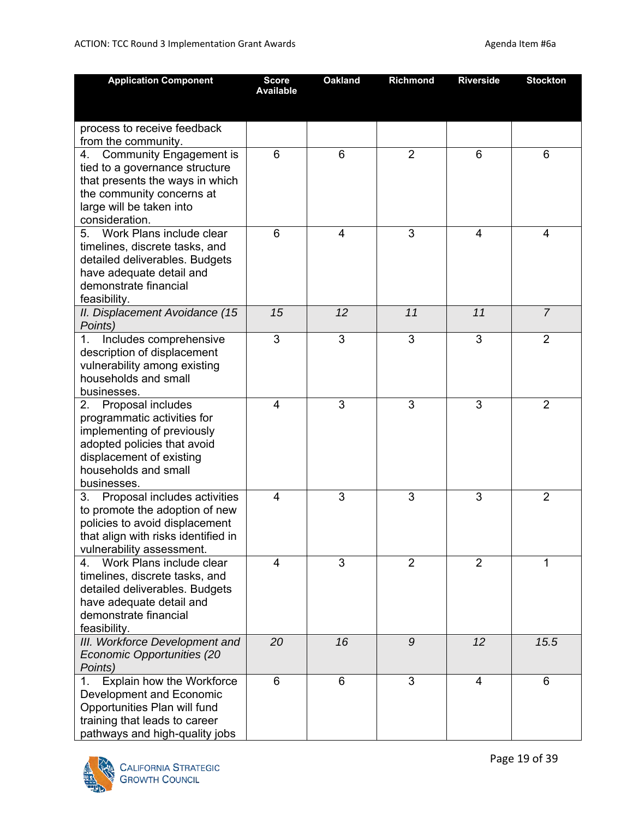| <b>Application Component</b>              | <b>Score</b><br><b>Available</b> | <b>Oakland</b> | Richmond       | <b>Riverside</b> | <b>Stockton</b> |
|-------------------------------------------|----------------------------------|----------------|----------------|------------------|-----------------|
|                                           |                                  |                |                |                  |                 |
| process to receive feedback               |                                  |                |                |                  |                 |
| from the community.                       |                                  |                |                |                  |                 |
| <b>Community Engagement is</b><br>4.      | 6                                | 6              | $\overline{2}$ | 6                | 6               |
| tied to a governance structure            |                                  |                |                |                  |                 |
| that presents the ways in which           |                                  |                |                |                  |                 |
| the community concerns at                 |                                  |                |                |                  |                 |
| large will be taken into                  |                                  |                |                |                  |                 |
| consideration.                            |                                  |                |                |                  |                 |
| Work Plans include clear<br>5.            | 6                                | 4              | 3              | $\overline{4}$   | $\overline{4}$  |
| timelines, discrete tasks, and            |                                  |                |                |                  |                 |
| detailed deliverables. Budgets            |                                  |                |                |                  |                 |
| have adequate detail and                  |                                  |                |                |                  |                 |
| demonstrate financial                     |                                  |                |                |                  |                 |
| feasibility.                              |                                  |                |                |                  |                 |
| II. Displacement Avoidance (15<br>Points) | 15                               | 12             | 11             | 11               | $\overline{7}$  |
| Includes comprehensive<br>1.              | 3                                | 3              | 3              | 3                | 2               |
| description of displacement               |                                  |                |                |                  |                 |
| vulnerability among existing              |                                  |                |                |                  |                 |
| households and small                      |                                  |                |                |                  |                 |
| businesses.                               |                                  |                |                |                  |                 |
| Proposal includes<br>2.                   | 4                                | 3              | 3              | 3                | $\overline{2}$  |
| programmatic activities for               |                                  |                |                |                  |                 |
| implementing of previously                |                                  |                |                |                  |                 |
| adopted policies that avoid               |                                  |                |                |                  |                 |
| displacement of existing                  |                                  |                |                |                  |                 |
| households and small<br>businesses.       |                                  |                |                |                  |                 |
| 3. Proposal includes activities           | 4                                | 3              | 3              | 3                | $\overline{2}$  |
| to promote the adoption of new            |                                  |                |                |                  |                 |
| policies to avoid displacement            |                                  |                |                |                  |                 |
| that align with risks identified in       |                                  |                |                |                  |                 |
| vulnerability assessment.                 |                                  |                |                |                  |                 |
| Work Plans include clear<br>4.            | $\overline{4}$                   | 3              | $\overline{2}$ | $\overline{2}$   | 1               |
| timelines, discrete tasks, and            |                                  |                |                |                  |                 |
| detailed deliverables. Budgets            |                                  |                |                |                  |                 |
| have adequate detail and                  |                                  |                |                |                  |                 |
| demonstrate financial                     |                                  |                |                |                  |                 |
| feasibility.                              |                                  |                |                |                  |                 |
| III. Workforce Development and            | 20                               | 16             | 9              | 12               | 15.5            |
| Economic Opportunities (20                |                                  |                |                |                  |                 |
| Points)                                   |                                  |                |                |                  |                 |
| Explain how the Workforce<br>1.           | 6                                | 6              | 3              | 4                | 6               |
| Development and Economic                  |                                  |                |                |                  |                 |
| Opportunities Plan will fund              |                                  |                |                |                  |                 |
| training that leads to career             |                                  |                |                |                  |                 |
| pathways and high-quality jobs            |                                  |                |                |                  |                 |

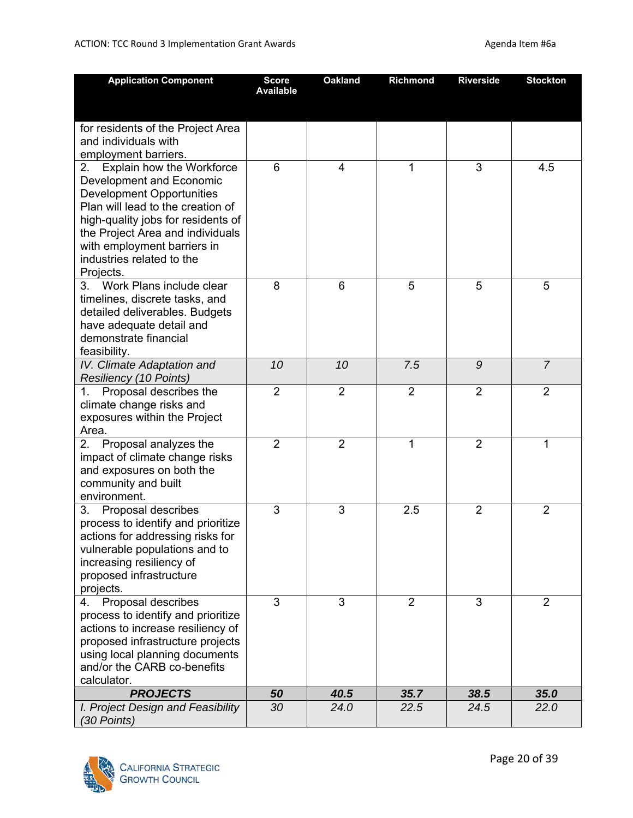| <b>Application Component</b>                       | <b>Score</b><br><b>Available</b> | <b>Oakland</b> | Richmond       | <b>Riverside</b> | <b>Stockton</b> |
|----------------------------------------------------|----------------------------------|----------------|----------------|------------------|-----------------|
|                                                    |                                  |                |                |                  |                 |
| for residents of the Project Area                  |                                  |                |                |                  |                 |
| and individuals with                               |                                  |                |                |                  |                 |
| employment barriers.                               |                                  |                |                |                  |                 |
| 2. Explain how the Workforce                       | 6                                | $\overline{4}$ | 1              | 3                | 4.5             |
| <b>Development and Economic</b>                    |                                  |                |                |                  |                 |
| <b>Development Opportunities</b>                   |                                  |                |                |                  |                 |
| Plan will lead to the creation of                  |                                  |                |                |                  |                 |
| high-quality jobs for residents of                 |                                  |                |                |                  |                 |
| the Project Area and individuals                   |                                  |                |                |                  |                 |
| with employment barriers in                        |                                  |                |                |                  |                 |
| industries related to the                          |                                  |                |                |                  |                 |
| Projects.<br>3. Work Plans include clear           | 8                                | 6              | 5              | 5                | 5               |
| timelines, discrete tasks, and                     |                                  |                |                |                  |                 |
| detailed deliverables. Budgets                     |                                  |                |                |                  |                 |
| have adequate detail and                           |                                  |                |                |                  |                 |
| demonstrate financial                              |                                  |                |                |                  |                 |
| feasibility.                                       |                                  |                |                |                  |                 |
| IV. Climate Adaptation and                         | 10                               | 10             | 7.5            | 9                | $\overline{7}$  |
| <b>Resiliency (10 Points)</b>                      |                                  |                |                |                  |                 |
| 1. Proposal describes the                          | $\overline{2}$                   | $\overline{2}$ | $\overline{2}$ | $\overline{2}$   | $\overline{2}$  |
| climate change risks and                           |                                  |                |                |                  |                 |
| exposures within the Project                       |                                  |                |                |                  |                 |
| Area.                                              |                                  |                |                |                  |                 |
| Proposal analyzes the<br>2.                        | $\overline{2}$                   | $\overline{2}$ | 1              | $\overline{2}$   | 1               |
| impact of climate change risks                     |                                  |                |                |                  |                 |
| and exposures on both the                          |                                  |                |                |                  |                 |
| community and built<br>environment.                |                                  |                |                |                  |                 |
| 3. Proposal describes                              | 3                                | 3              | 2.5            | $\overline{2}$   | $\overline{2}$  |
| process to identify and prioritize                 |                                  |                |                |                  |                 |
| actions for addressing risks for                   |                                  |                |                |                  |                 |
| vulnerable populations and to                      |                                  |                |                |                  |                 |
| increasing resiliency of                           |                                  |                |                |                  |                 |
| proposed infrastructure                            |                                  |                |                |                  |                 |
| projects.                                          |                                  |                |                |                  |                 |
| Proposal describes<br>4.                           | 3                                | 3              | $\overline{2}$ | 3                | $\overline{2}$  |
| process to identify and prioritize                 |                                  |                |                |                  |                 |
| actions to increase resiliency of                  |                                  |                |                |                  |                 |
| proposed infrastructure projects                   |                                  |                |                |                  |                 |
| using local planning documents                     |                                  |                |                |                  |                 |
| and/or the CARB co-benefits                        |                                  |                |                |                  |                 |
| calculator.                                        |                                  |                |                |                  |                 |
| <b>PROJECTS</b>                                    | 50                               | 40.5           | 35.7           | 38.5             | 35.0            |
| I. Project Design and Feasibility<br>$(30$ Points) | 30                               | 24.0           | 22.5           | 24.5             | 22.0            |

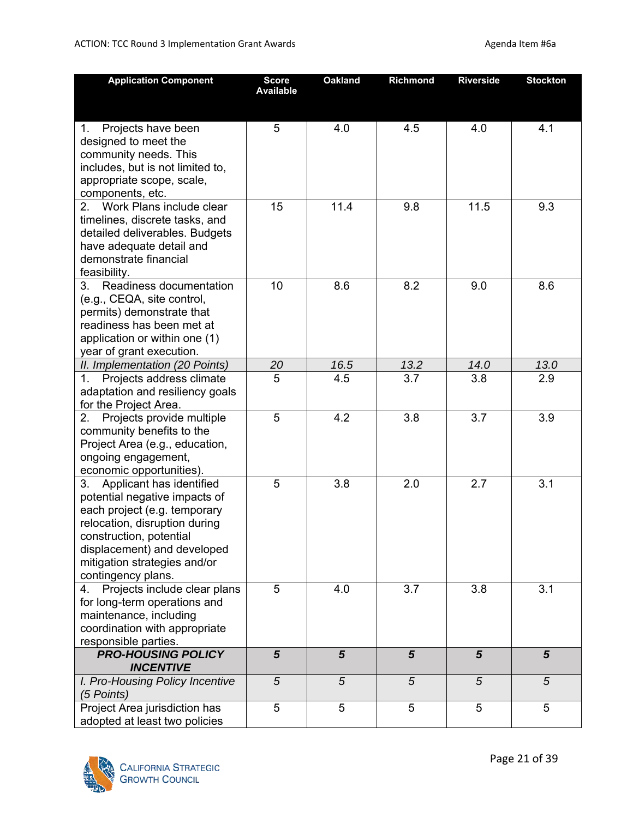| <b>Application Component</b>                                                                                                                                                                                                                  | <b>Score</b><br><b>Available</b> | <b>Oakland</b> | <b>Richmond</b> | <b>Riverside</b> | <b>Stockton</b> |
|-----------------------------------------------------------------------------------------------------------------------------------------------------------------------------------------------------------------------------------------------|----------------------------------|----------------|-----------------|------------------|-----------------|
|                                                                                                                                                                                                                                               |                                  |                |                 |                  |                 |
| Projects have been<br>1.<br>designed to meet the<br>community needs. This<br>includes, but is not limited to,<br>appropriate scope, scale,<br>components, etc.                                                                                | 5                                | 4.0            | 4.5             | 4.0              | 4.1             |
| 2.<br>Work Plans include clear<br>timelines, discrete tasks, and<br>detailed deliverables. Budgets<br>have adequate detail and<br>demonstrate financial<br>feasibility.                                                                       | 15                               | 11.4           | 9.8             | 11.5             | 9.3             |
| 3. Readiness documentation<br>(e.g., CEQA, site control,<br>permits) demonstrate that<br>readiness has been met at<br>application or within one (1)<br>year of grant execution.                                                               | 10                               | 8.6            | 8.2             | 9.0              | 8.6             |
| II. Implementation (20 Points)                                                                                                                                                                                                                | 20                               | 16.5           | 13.2            | 14.0             | 13.0            |
| Projects address climate<br>1.<br>adaptation and resiliency goals<br>for the Project Area.                                                                                                                                                    | 5                                | 4.5            | 3.7             | 3.8              | 2.9             |
| Projects provide multiple<br>2.<br>community benefits to the<br>Project Area (e.g., education,<br>ongoing engagement,<br>economic opportunities).                                                                                             | 5                                | 4.2            | 3.8             | 3.7              | 3.9             |
| 3. Applicant has identified<br>potential negative impacts of<br>each project (e.g. temporary<br>relocation, disruption during<br>construction, potential<br>displacement) and developed<br>mitigation strategies and/or<br>contingency plans. | 5                                | 3.8            | 2.0             | 2.7              | 3.1             |
| Projects include clear plans<br>4.<br>for long-term operations and<br>maintenance, including<br>coordination with appropriate<br>responsible parties.                                                                                         | 5                                | 4.0            | 3.7             | 3.8              | 3.1             |
| <b>PRO-HOUSING POLICY</b>                                                                                                                                                                                                                     | $\overline{5}$                   | $\overline{5}$ | $\overline{5}$  | $5\phantom{1}$   | $5\phantom{.0}$ |
| <b>INCENTIVE</b><br>I. Pro-Housing Policy Incentive                                                                                                                                                                                           | 5                                | 5              | 5               | 5                | 5               |
| (5 Points)                                                                                                                                                                                                                                    |                                  |                |                 |                  |                 |
| Project Area jurisdiction has<br>adopted at least two policies                                                                                                                                                                                | 5                                | 5              | 5               | 5                | 5               |

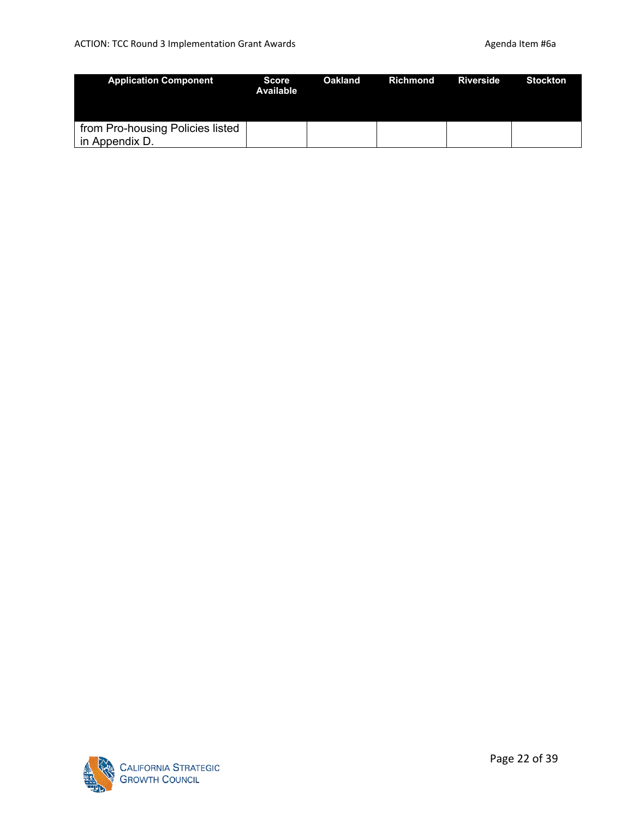| <b>Application Component</b>                       | <b>Score</b><br>Available | Oakland | Richmond | Riverside | <b>Stockton</b> |
|----------------------------------------------------|---------------------------|---------|----------|-----------|-----------------|
| from Pro-housing Policies listed<br>in Appendix D. |                           |         |          |           |                 |

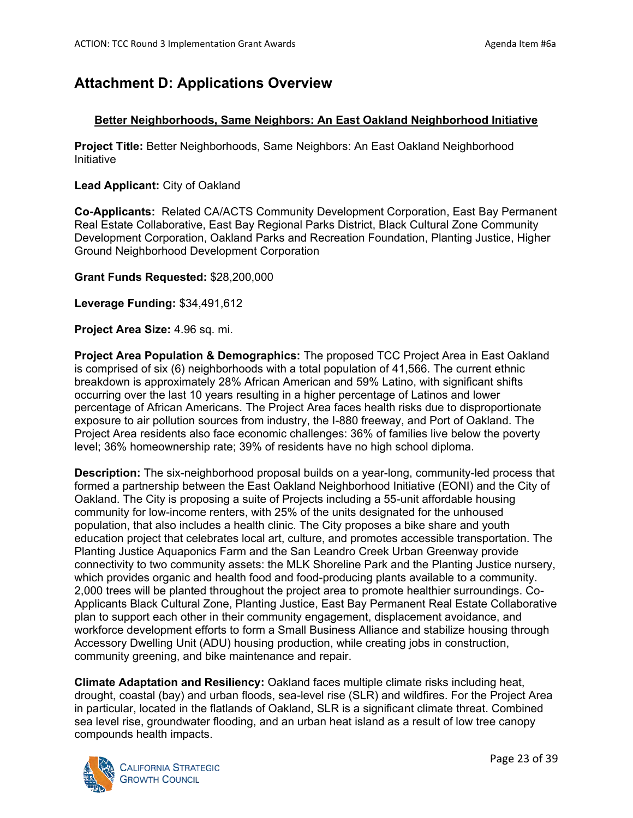# **Attachment D: Applications Overview**

## **Better Neighborhoods, Same Neighbors: An East Oakland Neighborhood Initiative**

**Project Title:** Better Neighborhoods, Same Neighbors: An East Oakland Neighborhood Initiative

#### **Lead Applicant:** City of Oakland

**Co-Applicants:** Related CA/ACTS Community Development Corporation, East Bay Permanent Real Estate Collaborative, East Bay Regional Parks District, Black Cultural Zone Community Development Corporation, Oakland Parks and Recreation Foundation, Planting Justice, Higher Ground Neighborhood Development Corporation

#### **Grant Funds Requested:** \$28,200,000

**Leverage Funding:** \$34,491,612

**Project Area Size:** 4.96 sq. mi.

**Project Area Population & Demographics:** The proposed TCC Project Area in East Oakland is comprised of six (6) neighborhoods with a total population of 41,566. The current ethnic breakdown is approximately 28% African American and 59% Latino, with significant shifts occurring over the last 10 years resulting in a higher percentage of Latinos and lower percentage of African Americans. The Project Area faces health risks due to disproportionate exposure to air pollution sources from industry, the I-880 freeway, and Port of Oakland. The Project Area residents also face economic challenges: 36% of families live below the poverty level; 36% homeownership rate; 39% of residents have no high school diploma.

**Description:** The six-neighborhood proposal builds on a year-long, community-led process that formed a partnership between the East Oakland Neighborhood Initiative (EONI) and the City of Oakland. The City is proposing a suite of Projects including a 55-unit affordable housing community for low-income renters, with 25% of the units designated for the unhoused population, that also includes a health clinic. The City proposes a bike share and youth education project that celebrates local art, culture, and promotes accessible transportation. The Planting Justice Aquaponics Farm and the San Leandro Creek Urban Greenway provide connectivity to two community assets: the MLK Shoreline Park and the Planting Justice nursery, which provides organic and health food and food-producing plants available to a community. 2,000 trees will be planted throughout the project area to promote healthier surroundings. Co-Applicants Black Cultural Zone, Planting Justice, East Bay Permanent Real Estate Collaborative plan to support each other in their community engagement, displacement avoidance, and workforce development efforts to form a Small Business Alliance and stabilize housing through Accessory Dwelling Unit (ADU) housing production, while creating jobs in construction, community greening, and bike maintenance and repair.

**Climate Adaptation and Resiliency:** Oakland faces multiple climate risks including heat, drought, coastal (bay) and urban floods, sea-level rise (SLR) and wildfires. For the Project Area in particular, located in the flatlands of Oakland, SLR is a significant climate threat. Combined sea level rise, groundwater flooding, and an urban heat island as a result of low tree canopy compounds health impacts.

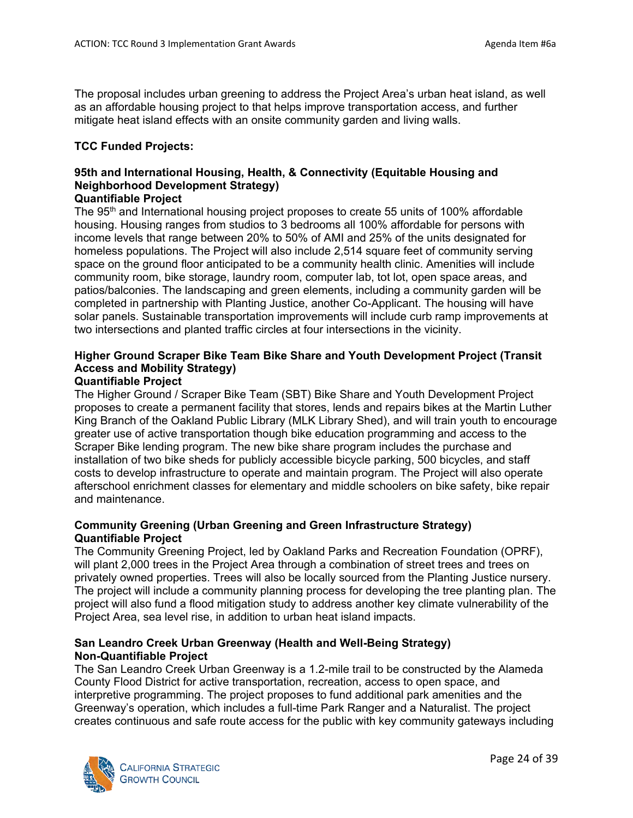The proposal includes urban greening to address the Project Area's urban heat island, as well as an affordable housing project to that helps improve transportation access, and further mitigate heat island effects with an onsite community garden and living walls.

#### **TCC Funded Projects:**

## **95th and International Housing, Health, & Connectivity (Equitable Housing and Neighborhood Development Strategy)**

#### **Quantifiable Project**

The 95<sup>th</sup> and International housing project proposes to create 55 units of 100% affordable housing. Housing ranges from studios to 3 bedrooms all 100% affordable for persons with income levels that range between 20% to 50% of AMI and 25% of the units designated for homeless populations. The Project will also include 2,514 square feet of community serving space on the ground floor anticipated to be a community health clinic. Amenities will include community room, bike storage, laundry room, computer lab, tot lot, open space areas, and patios/balconies. The landscaping and green elements, including a community garden will be completed in partnership with Planting Justice, another Co-Applicant. The housing will have solar panels. Sustainable transportation improvements will include curb ramp improvements at two intersections and planted traffic circles at four intersections in the vicinity.

## **Higher Ground Scraper Bike Team Bike Share and Youth Development Project (Transit Access and Mobility Strategy)**

## **Quantifiable Project**

The Higher Ground / Scraper Bike Team (SBT) Bike Share and Youth Development Project proposes to create a permanent facility that stores, lends and repairs bikes at the Martin Luther King Branch of the Oakland Public Library (MLK Library Shed), and will train youth to encourage greater use of active transportation though bike education programming and access to the Scraper Bike lending program. The new bike share program includes the purchase and installation of two bike sheds for publicly accessible bicycle parking, 500 bicycles, and staff costs to develop infrastructure to operate and maintain program. The Project will also operate afterschool enrichment classes for elementary and middle schoolers on bike safety, bike repair and maintenance.

## **Community Greening (Urban Greening and Green Infrastructure Strategy) Quantifiable Project**

The Community Greening Project, led by Oakland Parks and Recreation Foundation (OPRF), will plant 2,000 trees in the Project Area through a combination of street trees and trees on privately owned properties. Trees will also be locally sourced from the Planting Justice nursery. The project will include a community planning process for developing the tree planting plan. The project will also fund a flood mitigation study to address another key climate vulnerability of the Project Area, sea level rise, in addition to urban heat island impacts.

## **San Leandro Creek Urban Greenway (Health and Well-Being Strategy) Non-Quantifiable Project**

The San Leandro Creek Urban Greenway is a 1.2-mile trail to be constructed by the Alameda County Flood District for active transportation, recreation, access to open space, and interpretive programming. The project proposes to fund additional park amenities and the Greenway's operation, which includes a full-time Park Ranger and a Naturalist. The project creates continuous and safe route access for the public with key community gateways including

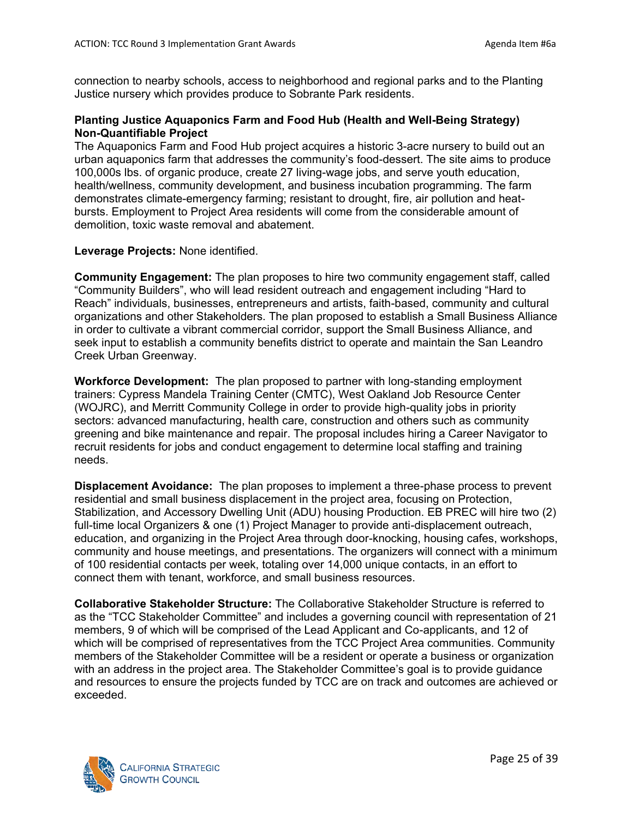connection to nearby schools, access to neighborhood and regional parks and to the Planting Justice nursery which provides produce to Sobrante Park residents.

## **Planting Justice Aquaponics Farm and Food Hub (Health and Well-Being Strategy) Non-Quantifiable Project**

The Aquaponics Farm and Food Hub project acquires a historic 3-acre nursery to build out an urban aquaponics farm that addresses the community's food-dessert. The site aims to produce 100,000s lbs. of organic produce, create 27 living-wage jobs, and serve youth education, health/wellness, community development, and business incubation programming. The farm demonstrates climate-emergency farming; resistant to drought, fire, air pollution and heatbursts. Employment to Project Area residents will come from the considerable amount of demolition, toxic waste removal and abatement.

#### **Leverage Projects:** None identified.

**Community Engagement:** The plan proposes to hire two community engagement staff, called "Community Builders", who will lead resident outreach and engagement including "Hard to Reach" individuals, businesses, entrepreneurs and artists, faith-based, community and cultural organizations and other Stakeholders. The plan proposed to establish a Small Business Alliance in order to cultivate a vibrant commercial corridor, support the Small Business Alliance, and seek input to establish a community benefits district to operate and maintain the San Leandro Creek Urban Greenway.

**Workforce Development:** The plan proposed to partner with long-standing employment trainers: Cypress Mandela Training Center (CMTC), West Oakland Job Resource Center (WOJRC), and Merritt Community College in order to provide high-quality jobs in priority sectors: advanced manufacturing, health care, construction and others such as community greening and bike maintenance and repair. The proposal includes hiring a Career Navigator to recruit residents for jobs and conduct engagement to determine local staffing and training needs.

**Displacement Avoidance:** The plan proposes to implement a three-phase process to prevent residential and small business displacement in the project area, focusing on Protection, Stabilization, and Accessory Dwelling Unit (ADU) housing Production. EB PREC will hire two (2) full-time local Organizers & one (1) Project Manager to provide anti-displacement outreach, education, and organizing in the Project Area through door-knocking, housing cafes, workshops, community and house meetings, and presentations. The organizers will connect with a minimum of 100 residential contacts per week, totaling over 14,000 unique contacts, in an effort to connect them with tenant, workforce, and small business resources.

**Collaborative Stakeholder Structure:** The Collaborative Stakeholder Structure is referred to as the "TCC Stakeholder Committee" and includes a governing council with representation of 21 members, 9 of which will be comprised of the Lead Applicant and Co-applicants, and 12 of which will be comprised of representatives from the TCC Project Area communities. Community members of the Stakeholder Committee will be a resident or operate a business or organization with an address in the project area. The Stakeholder Committee's goal is to provide guidance and resources to ensure the projects funded by TCC are on track and outcomes are achieved or exceeded.

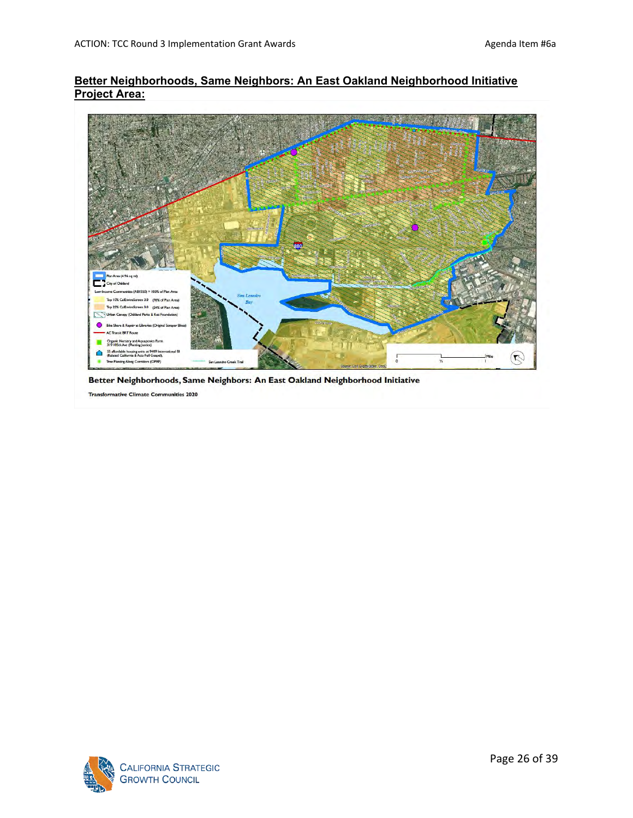## **Better Neighborhoods, Same Neighbors: An East Oakland Neighborhood Initiative Project Area:**



Better Neighborhoods, Same Neighbors: An East Oakland Neighborhood Initiative

**Transformative Climate Communities 2020** 

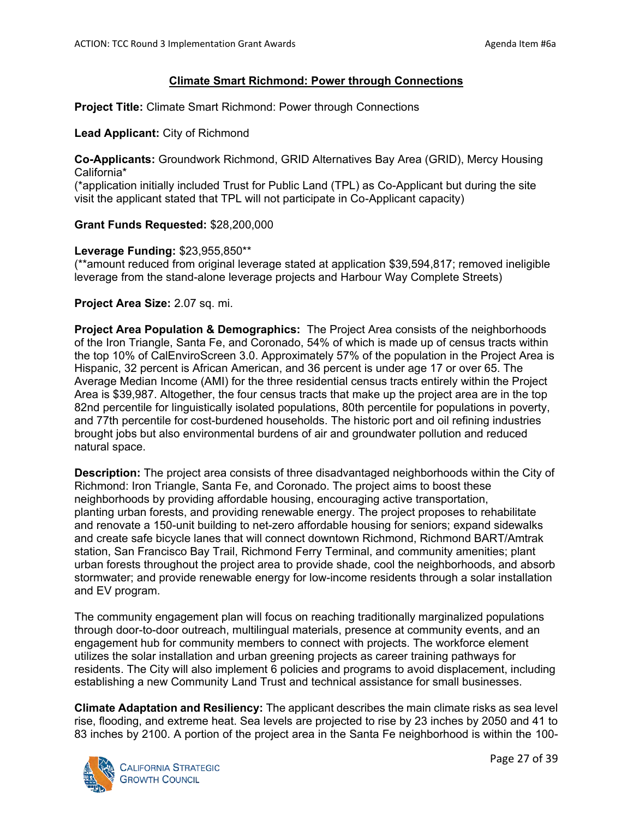## **Climate Smart Richmond: Power through Connections**

**Project Title:** Climate Smart Richmond: Power through Connections

#### **Lead Applicant:** City of Richmond

**Co-Applicants:** Groundwork Richmond, GRID Alternatives Bay Area (GRID), Mercy Housing California\*

(\*application initially included Trust for Public Land (TPL) as Co-Applicant but during the site visit the applicant stated that TPL will not participate in Co-Applicant capacity)

#### **Grant Funds Requested:** \$28,200,000

#### **Leverage Funding:** \$23,955,850\*\*

(\*\*amount reduced from original leverage stated at application \$39,594,817; removed ineligible leverage from the stand-alone leverage projects and Harbour Way Complete Streets)

#### **Project Area Size:** 2.07 sq. mi.

**Project Area Population & Demographics:** The Project Area consists of the neighborhoods of the Iron Triangle, Santa Fe, and Coronado, 54% of which is made up of census tracts within the top 10% of CalEnviroScreen 3.0. Approximately 57% of the population in the Project Area is Hispanic, 32 percent is African American, and 36 percent is under age 17 or over 65. The Average Median Income (AMI) for the three residential census tracts entirely within the Project Area is \$39,987. Altogether, the four census tracts that make up the project area are in the top 82nd percentile for linguistically isolated populations, 80th percentile for populations in poverty, and 77th percentile for cost-burdened households. The historic port and oil refining industries brought jobs but also environmental burdens of air and groundwater pollution and reduced natural space.

**Description:** The project area consists of three disadvantaged neighborhoods within the City of Richmond: Iron Triangle, Santa Fe, and Coronado. The project aims to boost these neighborhoods by providing affordable housing, encouraging active transportation, planting urban forests, and providing renewable energy. The project proposes to rehabilitate and renovate a 150-unit building to net-zero affordable housing for seniors; expand sidewalks and create safe bicycle lanes that will connect downtown Richmond, Richmond BART/Amtrak station, San Francisco Bay Trail, Richmond Ferry Terminal, and community amenities; plant urban forests throughout the project area to provide shade, cool the neighborhoods, and absorb stormwater; and provide renewable energy for low-income residents through a solar installation and EV program.

The community engagement plan will focus on reaching traditionally marginalized populations through door-to-door outreach, multilingual materials, presence at community events, and an engagement hub for community members to connect with projects. The workforce element utilizes the solar installation and urban greening projects as career training pathways for residents. The City will also implement 6 policies and programs to avoid displacement, including establishing a new Community Land Trust and technical assistance for small businesses.

**Climate Adaptation and Resiliency:** The applicant describes the main climate risks as sea level rise, flooding, and extreme heat. Sea levels are projected to rise by 23 inches by 2050 and 41 to 83 inches by 2100. A portion of the project area in the Santa Fe neighborhood is within the 100-

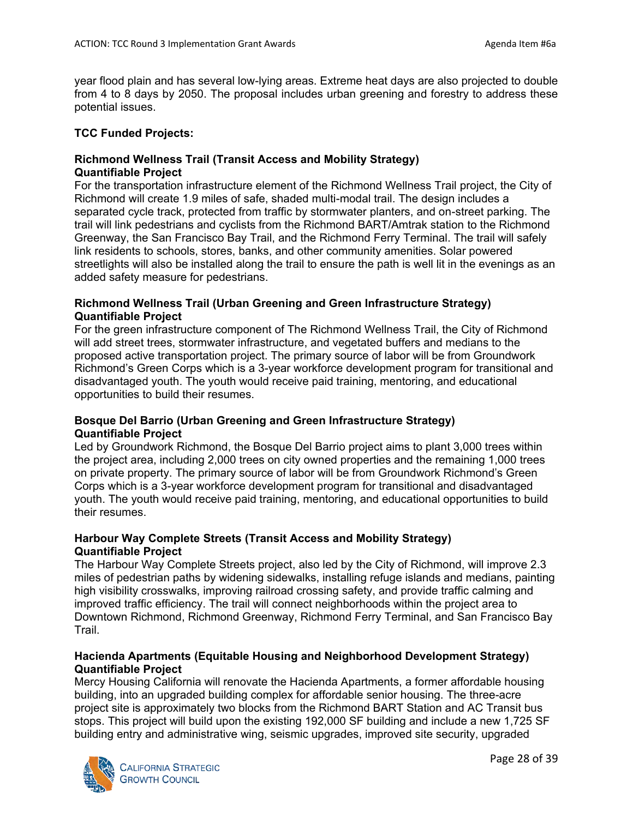year flood plain and has several low-lying areas. Extreme heat days are also projected to double from 4 to 8 days by 2050. The proposal includes urban greening and forestry to address these potential issues.

## **TCC Funded Projects:**

## **Richmond Wellness Trail (Transit Access and Mobility Strategy) Quantifiable Project**

For the transportation infrastructure element of the Richmond Wellness Trail project, the City of Richmond will create 1.9 miles of safe, shaded multi-modal trail. The design includes a separated cycle track, protected from traffic by stormwater planters, and on-street parking. The trail will link pedestrians and cyclists from the Richmond BART/Amtrak station to the Richmond Greenway, the San Francisco Bay Trail, and the Richmond Ferry Terminal. The trail will safely link residents to schools, stores, banks, and other community amenities. Solar powered streetlights will also be installed along the trail to ensure the path is well lit in the evenings as an added safety measure for pedestrians.

## **Richmond Wellness Trail (Urban Greening and Green Infrastructure Strategy) Quantifiable Project**

For the green infrastructure component of The Richmond Wellness Trail, the City of Richmond will add street trees, stormwater infrastructure, and vegetated buffers and medians to the proposed active transportation project. The primary source of labor will be from Groundwork Richmond's Green Corps which is a 3-year workforce development program for transitional and disadvantaged youth. The youth would receive paid training, mentoring, and educational opportunities to build their resumes.

## **Bosque Del Barrio (Urban Greening and Green Infrastructure Strategy) Quantifiable Project**

Led by Groundwork Richmond, the Bosque Del Barrio project aims to plant 3,000 trees within the project area, including 2,000 trees on city owned properties and the remaining 1,000 trees on private property. The primary source of labor will be from Groundwork Richmond's Green Corps which is a 3-year workforce development program for transitional and disadvantaged youth. The youth would receive paid training, mentoring, and educational opportunities to build their resumes.

## **Harbour Way Complete Streets (Transit Access and Mobility Strategy) Quantifiable Project**

The Harbour Way Complete Streets project, also led by the City of Richmond, will improve 2.3 miles of pedestrian paths by widening sidewalks, installing refuge islands and medians, painting high visibility crosswalks, improving railroad crossing safety, and provide traffic calming and improved traffic efficiency. The trail will connect neighborhoods within the project area to Downtown Richmond, Richmond Greenway, Richmond Ferry Terminal, and San Francisco Bay Trail.

## **Hacienda Apartments (Equitable Housing and Neighborhood Development Strategy) Quantifiable Project**

Mercy Housing California will renovate the Hacienda Apartments, a former affordable housing building, into an upgraded building complex for affordable senior housing. The three-acre project site is approximately two blocks from the Richmond BART Station and AC Transit bus stops. This project will build upon the existing 192,000 SF building and include a new 1,725 SF building entry and administrative wing, seismic upgrades, improved site security, upgraded

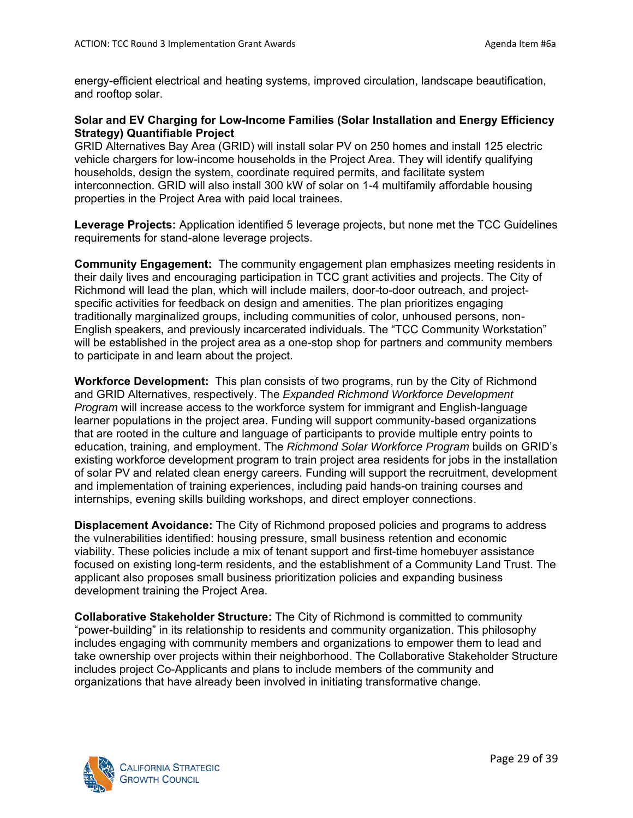energy-efficient electrical and heating systems, improved circulation, landscape beautification, and rooftop solar.

#### **Solar and EV Charging for Low-Income Families (Solar Installation and Energy Efficiency Strategy) Quantifiable Project**

GRID Alternatives Bay Area (GRID) will install solar PV on 250 homes and install 125 electric vehicle chargers for low-income households in the Project Area. They will identify qualifying households, design the system, coordinate required permits, and facilitate system interconnection. GRID will also install 300 kW of solar on 1-4 multifamily affordable housing properties in the Project Area with paid local trainees.

**Leverage Projects:** Application identified 5 leverage projects, but none met the TCC Guidelines requirements for stand-alone leverage projects.

**Community Engagement:** The community engagement plan emphasizes meeting residents in their daily lives and encouraging participation in TCC grant activities and projects. The City of Richmond will lead the plan, which will include mailers, door-to-door outreach, and projectspecific activities for feedback on design and amenities. The plan prioritizes engaging traditionally marginalized groups, including communities of color, unhoused persons, non-English speakers, and previously incarcerated individuals. The "TCC Community Workstation" will be established in the project area as a one-stop shop for partners and community members to participate in and learn about the project.

**Workforce Development:** This plan consists of two programs, run by the City of Richmond and GRID Alternatives, respectively. The *Expanded Richmond Workforce Development Program* will increase access to the workforce system for immigrant and English-language learner populations in the project area. Funding will support community-based organizations that are rooted in the culture and language of participants to provide multiple entry points to education, training, and employment. The *Richmond Solar Workforce Program* builds on GRID's existing workforce development program to train project area residents for jobs in the installation of solar PV and related clean energy careers. Funding will support the recruitment, development and implementation of training experiences, including paid hands-on training courses and internships, evening skills building workshops, and direct employer connections.

**Displacement Avoidance:** The City of Richmond proposed policies and programs to address the vulnerabilities identified: housing pressure, small business retention and economic viability. These policies include a mix of tenant support and first-time homebuyer assistance focused on existing long-term residents, and the establishment of a Community Land Trust. The applicant also proposes small business prioritization policies and expanding business development training the Project Area.

**Collaborative Stakeholder Structure:** The City of Richmond is committed to community "power-building" in its relationship to residents and community organization. This philosophy includes engaging with community members and organizations to empower them to lead and take ownership over projects within their neighborhood. The Collaborative Stakeholder Structure includes project Co-Applicants and plans to include members of the community and organizations that have already been involved in initiating transformative change.

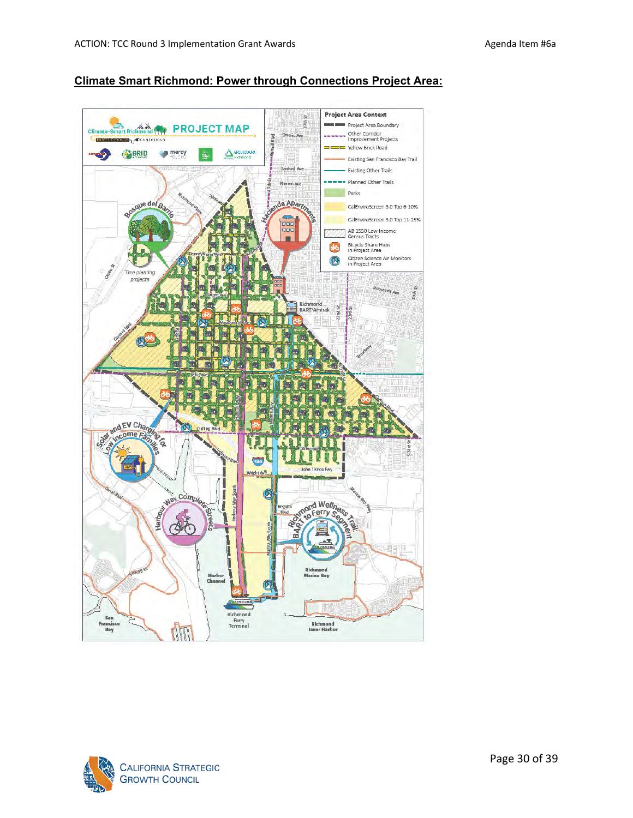



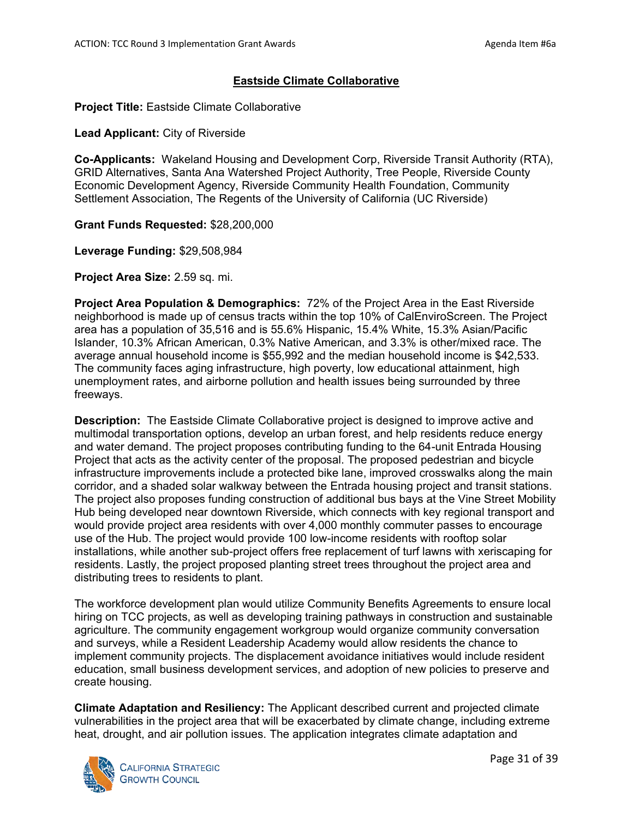#### **Eastside Climate Collaborative**

**Project Title:** Eastside Climate Collaborative

**Lead Applicant:** City of Riverside

**Co-Applicants:** Wakeland Housing and Development Corp, Riverside Transit Authority (RTA), GRID Alternatives, Santa Ana Watershed Project Authority, Tree People, Riverside County Economic Development Agency, Riverside Community Health Foundation, Community Settlement Association, The Regents of the University of California (UC Riverside)

**Grant Funds Requested:** \$28,200,000

**Leverage Funding:** \$29,508,984

**Project Area Size:** 2.59 sq. mi.

**Project Area Population & Demographics:** 72% of the Project Area in the East Riverside neighborhood is made up of census tracts within the top 10% of CalEnviroScreen. The Project area has a population of 35,516 and is 55.6% Hispanic, 15.4% White, 15.3% Asian/Pacific Islander, 10.3% African American, 0.3% Native American, and 3.3% is other/mixed race. The average annual household income is \$55,992 and the median household income is \$42,533. The community faces aging infrastructure, high poverty, low educational attainment, high unemployment rates, and airborne pollution and health issues being surrounded by three freeways.

**Description:** The Eastside Climate Collaborative project is designed to improve active and multimodal transportation options, develop an urban forest, and help residents reduce energy and water demand. The project proposes contributing funding to the 64-unit Entrada Housing Project that acts as the activity center of the proposal. The proposed pedestrian and bicycle infrastructure improvements include a protected bike lane, improved crosswalks along the main corridor, and a shaded solar walkway between the Entrada housing project and transit stations. The project also proposes funding construction of additional bus bays at the Vine Street Mobility Hub being developed near downtown Riverside, which connects with key regional transport and would provide project area residents with over 4,000 monthly commuter passes to encourage use of the Hub. The project would provide 100 low-income residents with rooftop solar installations, while another sub-project offers free replacement of turf lawns with xeriscaping for residents. Lastly, the project proposed planting street trees throughout the project area and distributing trees to residents to plant.

The workforce development plan would utilize Community Benefits Agreements to ensure local hiring on TCC projects, as well as developing training pathways in construction and sustainable agriculture. The community engagement workgroup would organize community conversation and surveys, while a Resident Leadership Academy would allow residents the chance to implement community projects. The displacement avoidance initiatives would include resident education, small business development services, and adoption of new policies to preserve and create housing.

**Climate Adaptation and Resiliency:** The Applicant described current and projected climate vulnerabilities in the project area that will be exacerbated by climate change, including extreme heat, drought, and air pollution issues. The application integrates climate adaptation and

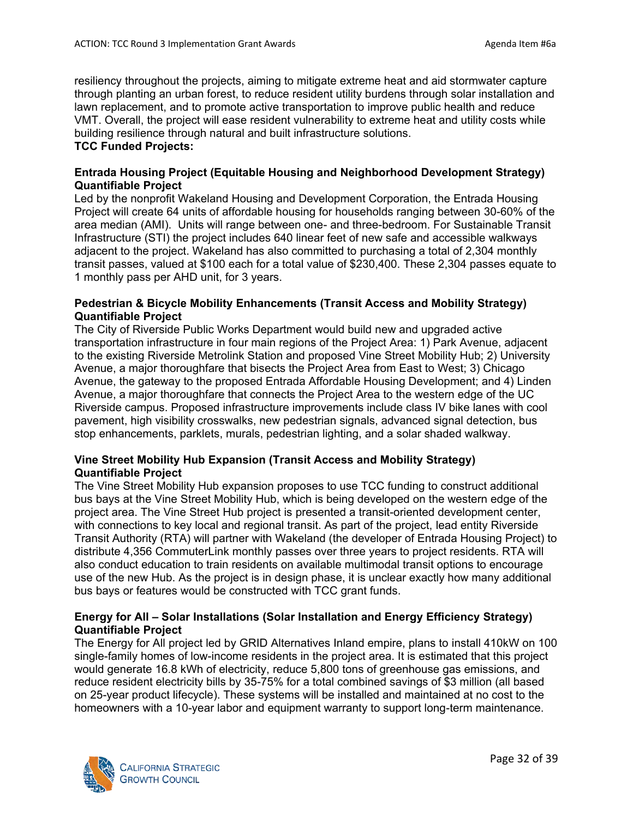resiliency throughout the projects, aiming to mitigate extreme heat and aid stormwater capture through planting an urban forest, to reduce resident utility burdens through solar installation and lawn replacement, and to promote active transportation to improve public health and reduce VMT. Overall, the project will ease resident vulnerability to extreme heat and utility costs while building resilience through natural and built infrastructure solutions. **TCC Funded Projects:**

#### **Entrada Housing Project (Equitable Housing and Neighborhood Development Strategy) Quantifiable Project**

Led by the nonprofit Wakeland Housing and Development Corporation, the Entrada Housing Project will create 64 units of affordable housing for households ranging between 30-60% of the area median (AMI). Units will range between one- and three-bedroom. For Sustainable Transit Infrastructure (STI) the project includes 640 linear feet of new safe and accessible walkways adjacent to the project. Wakeland has also committed to purchasing a total of 2,304 monthly transit passes, valued at \$100 each for a total value of \$230,400. These 2,304 passes equate to 1 monthly pass per AHD unit, for 3 years.

#### **Pedestrian & Bicycle Mobility Enhancements (Transit Access and Mobility Strategy) Quantifiable Project**

The City of Riverside Public Works Department would build new and upgraded active transportation infrastructure in four main regions of the Project Area: 1) Park Avenue, adjacent to the existing Riverside Metrolink Station and proposed Vine Street Mobility Hub; 2) University Avenue, a major thoroughfare that bisects the Project Area from East to West; 3) Chicago Avenue, the gateway to the proposed Entrada Affordable Housing Development; and 4) Linden Avenue, a major thoroughfare that connects the Project Area to the western edge of the UC Riverside campus. Proposed infrastructure improvements include class IV bike lanes with cool pavement, high visibility crosswalks, new pedestrian signals, advanced signal detection, bus stop enhancements, parklets, murals, pedestrian lighting, and a solar shaded walkway.

## **Vine Street Mobility Hub Expansion (Transit Access and Mobility Strategy) Quantifiable Project**

The Vine Street Mobility Hub expansion proposes to use TCC funding to construct additional bus bays at the Vine Street Mobility Hub, which is being developed on the western edge of the project area. The Vine Street Hub project is presented a transit-oriented development center, with connections to key local and regional transit. As part of the project, lead entity Riverside Transit Authority (RTA) will partner with Wakeland (the developer of Entrada Housing Project) to distribute 4,356 CommuterLink monthly passes over three years to project residents. RTA will also conduct education to train residents on available multimodal transit options to encourage use of the new Hub. As the project is in design phase, it is unclear exactly how many additional bus bays or features would be constructed with TCC grant funds.

## **Energy for All – Solar Installations (Solar Installation and Energy Efficiency Strategy) Quantifiable Project**

The Energy for All project led by GRID Alternatives Inland empire, plans to install 410kW on 100 single-family homes of low-income residents in the project area. It is estimated that this project would generate 16.8 kWh of electricity, reduce 5,800 tons of greenhouse gas emissions, and reduce resident electricity bills by 35-75% for a total combined savings of \$3 million (all based on 25-year product lifecycle). These systems will be installed and maintained at no cost to the homeowners with a 10-year labor and equipment warranty to support long-term maintenance.

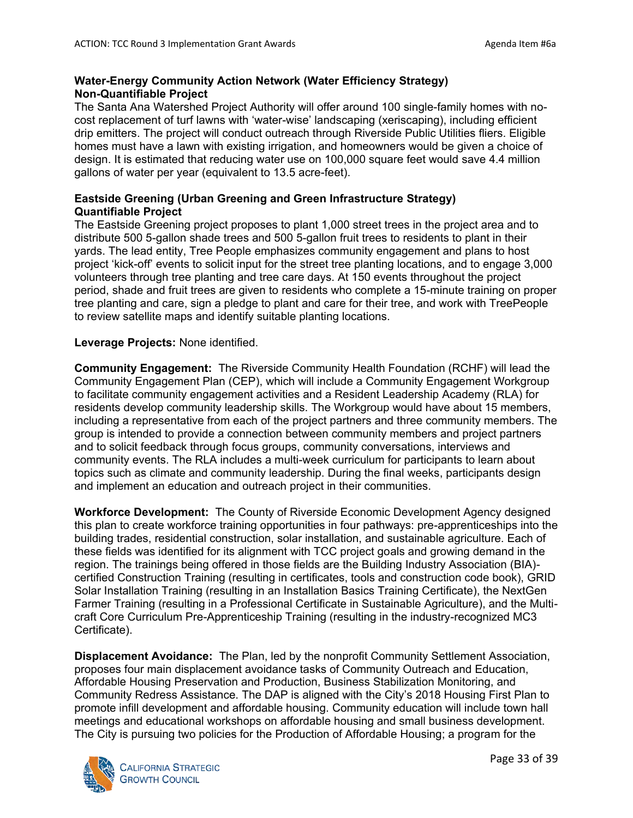## **Water-Energy Community Action Network (Water Efficiency Strategy) Non-Quantifiable Project**

The Santa Ana Watershed Project Authority will offer around 100 single-family homes with nocost replacement of turf lawns with 'water-wise' landscaping (xeriscaping), including efficient drip emitters. The project will conduct outreach through Riverside Public Utilities fliers. Eligible homes must have a lawn with existing irrigation, and homeowners would be given a choice of design. It is estimated that reducing water use on 100,000 square feet would save 4.4 million gallons of water per year (equivalent to 13.5 acre-feet).

## **Eastside Greening (Urban Greening and Green Infrastructure Strategy) Quantifiable Project**

The Eastside Greening project proposes to plant 1,000 street trees in the project area and to distribute 500 5-gallon shade trees and 500 5-gallon fruit trees to residents to plant in their yards. The lead entity, Tree People emphasizes community engagement and plans to host project 'kick-off' events to solicit input for the street tree planting locations, and to engage 3,000 volunteers through tree planting and tree care days. At 150 events throughout the project period, shade and fruit trees are given to residents who complete a 15-minute training on proper tree planting and care, sign a pledge to plant and care for their tree, and work with TreePeople to review satellite maps and identify suitable planting locations.

## **Leverage Projects:** None identified.

**Community Engagement:** The Riverside Community Health Foundation (RCHF) will lead the Community Engagement Plan (CEP), which will include a Community Engagement Workgroup to facilitate community engagement activities and a Resident Leadership Academy (RLA) for residents develop community leadership skills. The Workgroup would have about 15 members, including a representative from each of the project partners and three community members. The group is intended to provide a connection between community members and project partners and to solicit feedback through focus groups, community conversations, interviews and community events. The RLA includes a multi-week curriculum for participants to learn about topics such as climate and community leadership. During the final weeks, participants design and implement an education and outreach project in their communities.

**Workforce Development:** The County of Riverside Economic Development Agency designed this plan to create workforce training opportunities in four pathways: pre-apprenticeships into the building trades, residential construction, solar installation, and sustainable agriculture. Each of these fields was identified for its alignment with TCC project goals and growing demand in the region. The trainings being offered in those fields are the Building Industry Association (BIA) certified Construction Training (resulting in certificates, tools and construction code book), GRID Solar Installation Training (resulting in an Installation Basics Training Certificate), the NextGen Farmer Training (resulting in a Professional Certificate in Sustainable Agriculture), and the Multicraft Core Curriculum Pre-Apprenticeship Training (resulting in the industry-recognized MC3 Certificate).

**Displacement Avoidance:** The Plan, led by the nonprofit Community Settlement Association, proposes four main displacement avoidance tasks of Community Outreach and Education, Affordable Housing Preservation and Production, Business Stabilization Monitoring, and Community Redress Assistance. The DAP is aligned with the City's 2018 Housing First Plan to promote infill development and affordable housing. Community education will include town hall meetings and educational workshops on affordable housing and small business development. The City is pursuing two policies for the Production of Affordable Housing; a program for the

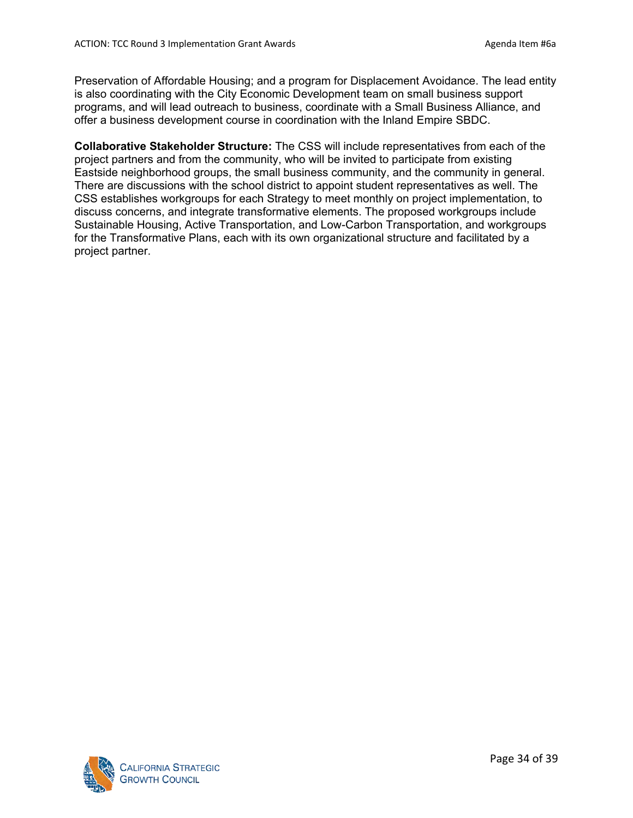Preservation of Affordable Housing; and a program for Displacement Avoidance. The lead entity is also coordinating with the City Economic Development team on small business support programs, and will lead outreach to business, coordinate with a Small Business Alliance, and offer a business development course in coordination with the Inland Empire SBDC.

**Collaborative Stakeholder Structure:** The CSS will include representatives from each of the project partners and from the community, who will be invited to participate from existing Eastside neighborhood groups, the small business community, and the community in general. There are discussions with the school district to appoint student representatives as well. The CSS establishes workgroups for each Strategy to meet monthly on project implementation, to discuss concerns, and integrate transformative elements. The proposed workgroups include Sustainable Housing, Active Transportation, and Low-Carbon Transportation, and workgroups for the Transformative Plans, each with its own organizational structure and facilitated by a project partner.

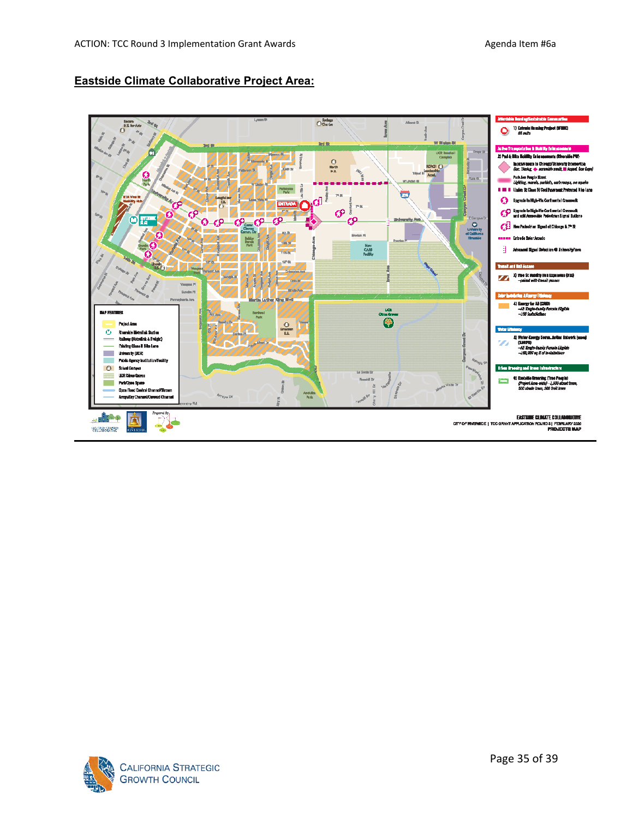## **Eastside Climate Collaborative Project Area:**



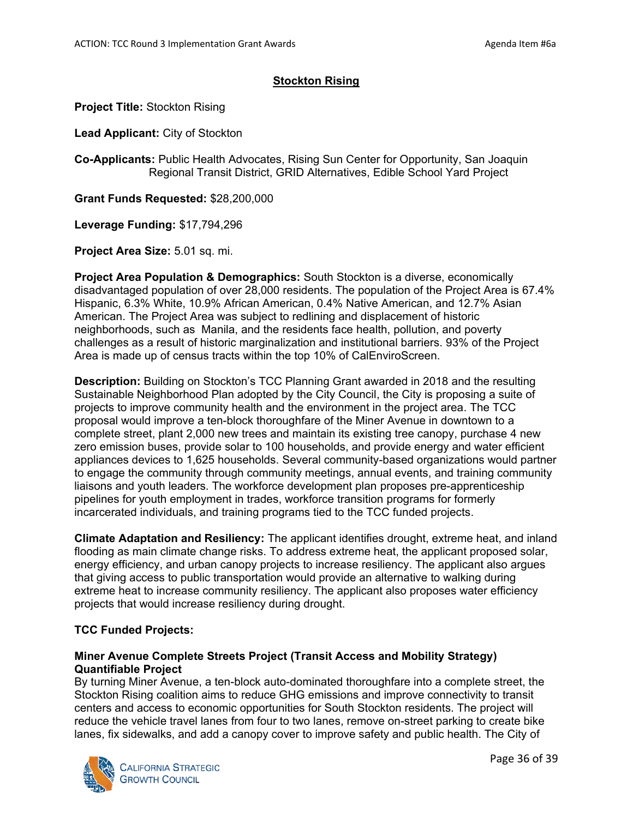## **Stockton Rising**

**Project Title:** Stockton Rising

**Lead Applicant:** City of Stockton

**Co-Applicants:** Public Health Advocates, Rising Sun Center for Opportunity, San Joaquin Regional Transit District, GRID Alternatives, Edible School Yard Project

**Grant Funds Requested:** \$28,200,000

**Leverage Funding:** \$17,794,296

**Project Area Size:** 5.01 sq. mi.

**Project Area Population & Demographics:** South Stockton is a diverse, economically disadvantaged population of over 28,000 residents. The population of the Project Area is 67.4% Hispanic, 6.3% White, 10.9% African American, 0.4% Native American, and 12.7% Asian American. The Project Area was subject to redlining and displacement of historic neighborhoods, such as Manila, and the residents face health, pollution, and poverty challenges as a result of historic marginalization and institutional barriers. 93% of the Project Area is made up of census tracts within the top 10% of CalEnviroScreen.

**Description:** Building on Stockton's TCC Planning Grant awarded in 2018 and the resulting Sustainable Neighborhood Plan adopted by the City Council, the City is proposing a suite of projects to improve community health and the environment in the project area. The TCC proposal would improve a ten-block thoroughfare of the Miner Avenue in downtown to a complete street, plant 2,000 new trees and maintain its existing tree canopy, purchase 4 new zero emission buses, provide solar to 100 households, and provide energy and water efficient appliances devices to 1,625 households. Several community-based organizations would partner to engage the community through community meetings, annual events, and training community liaisons and youth leaders. The workforce development plan proposes pre-apprenticeship pipelines for youth employment in trades, workforce transition programs for formerly incarcerated individuals, and training programs tied to the TCC funded projects.

**Climate Adaptation and Resiliency:** The applicant identifies drought, extreme heat, and inland flooding as main climate change risks. To address extreme heat, the applicant proposed solar, energy efficiency, and urban canopy projects to increase resiliency. The applicant also argues that giving access to public transportation would provide an alternative to walking during extreme heat to increase community resiliency. The applicant also proposes water efficiency projects that would increase resiliency during drought.

## **TCC Funded Projects:**

## **Miner Avenue Complete Streets Project (Transit Access and Mobility Strategy) Quantifiable Project**

By turning Miner Avenue, a ten-block auto-dominated thoroughfare into a complete street, the Stockton Rising coalition aims to reduce GHG emissions and improve connectivity to transit centers and access to economic opportunities for South Stockton residents. The project will reduce the vehicle travel lanes from four to two lanes, remove on-street parking to create bike lanes, fix sidewalks, and add a canopy cover to improve safety and public health. The City of

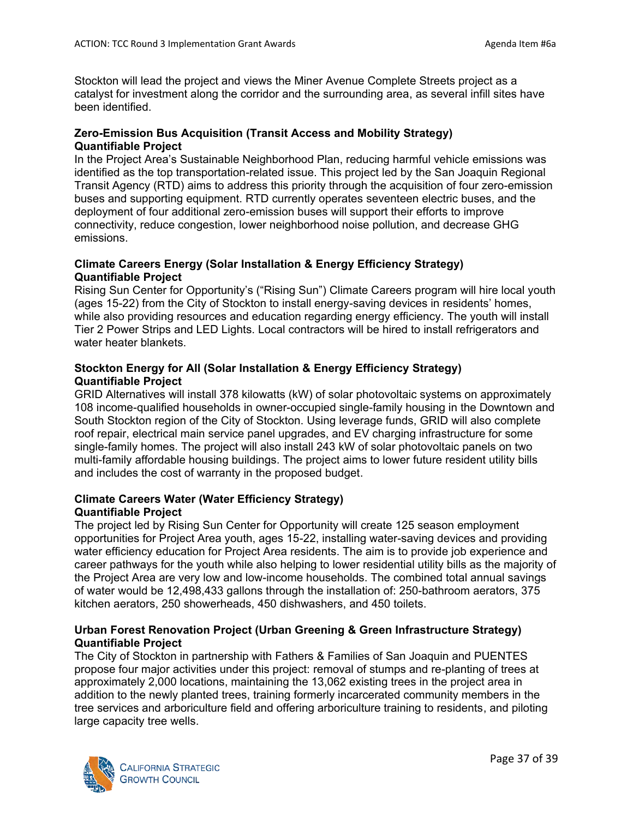Stockton will lead the project and views the Miner Avenue Complete Streets project as a catalyst for investment along the corridor and the surrounding area, as several infill sites have been identified.

## **Zero-Emission Bus Acquisition (Transit Access and Mobility Strategy) Quantifiable Project**

In the Project Area's Sustainable Neighborhood Plan, reducing harmful vehicle emissions was identified as the top transportation-related issue. This project led by the San Joaquin Regional Transit Agency (RTD) aims to address this priority through the acquisition of four zero-emission buses and supporting equipment. RTD currently operates seventeen electric buses, and the deployment of four additional zero-emission buses will support their efforts to improve connectivity, reduce congestion, lower neighborhood noise pollution, and decrease GHG emissions.

## **Climate Careers Energy (Solar Installation & Energy Efficiency Strategy) Quantifiable Project**

Rising Sun Center for Opportunity's ("Rising Sun") Climate Careers program will hire local youth (ages 15-22) from the City of Stockton to install energy-saving devices in residents' homes, while also providing resources and education regarding energy efficiency. The youth will install Tier 2 Power Strips and LED Lights. Local contractors will be hired to install refrigerators and water heater blankets.

## **Stockton Energy for All (Solar Installation & Energy Efficiency Strategy) Quantifiable Project**

GRID Alternatives will install 378 kilowatts (kW) of solar photovoltaic systems on approximately 108 income-qualified households in owner-occupied single-family housing in the Downtown and South Stockton region of the City of Stockton. Using leverage funds, GRID will also complete roof repair, electrical main service panel upgrades, and EV charging infrastructure for some single-family homes. The project will also install 243 kW of solar photovoltaic panels on two multi-family affordable housing buildings. The project aims to lower future resident utility bills and includes the cost of warranty in the proposed budget.

## **Climate Careers Water (Water Efficiency Strategy) Quantifiable Project**

The project led by Rising Sun Center for Opportunity will create 125 season employment opportunities for Project Area youth, ages 15-22, installing water-saving devices and providing water efficiency education for Project Area residents. The aim is to provide job experience and career pathways for the youth while also helping to lower residential utility bills as the majority of the Project Area are very low and low-income households. The combined total annual savings of water would be 12,498,433 gallons through the installation of: 250-bathroom aerators, 375 kitchen aerators, 250 showerheads, 450 dishwashers, and 450 toilets.

## **Urban Forest Renovation Project (Urban Greening & Green Infrastructure Strategy) Quantifiable Project**

The City of Stockton in partnership with Fathers & Families of San Joaquin and PUENTES propose four major activities under this project: removal of stumps and re-planting of trees at approximately 2,000 locations, maintaining the 13,062 existing trees in the project area in addition to the newly planted trees, training formerly incarcerated community members in the tree services and arboriculture field and offering arboriculture training to residents, and piloting large capacity tree wells.

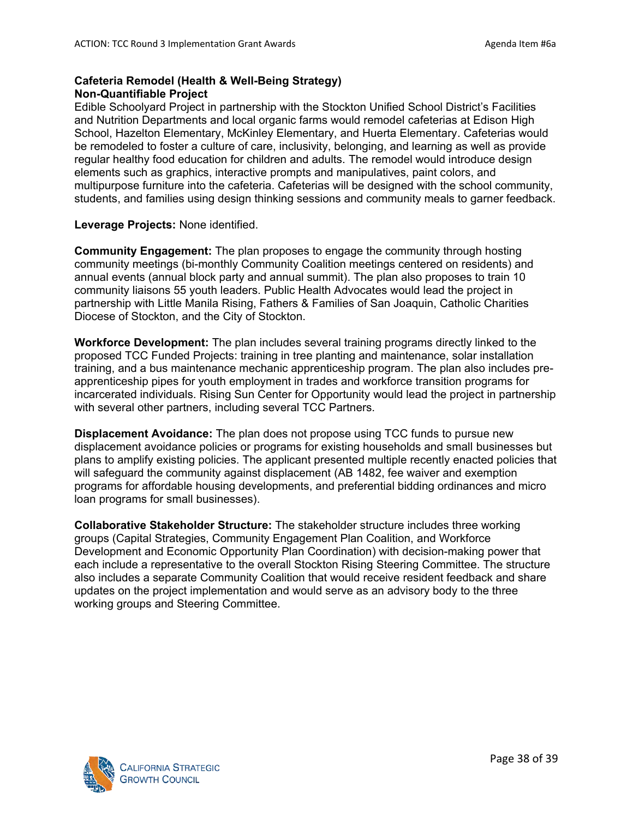## **Cafeteria Remodel (Health & Well-Being Strategy) Non-Quantifiable Project**

Edible Schoolyard Project in partnership with the Stockton Unified School District's Facilities and Nutrition Departments and local organic farms would remodel cafeterias at Edison High School, Hazelton Elementary, McKinley Elementary, and Huerta Elementary. Cafeterias would be remodeled to foster a culture of care, inclusivity, belonging, and learning as well as provide regular healthy food education for children and adults. The remodel would introduce design elements such as graphics, interactive prompts and manipulatives, paint colors, and multipurpose furniture into the cafeteria. Cafeterias will be designed with the school community, students, and families using design thinking sessions and community meals to garner feedback.

#### **Leverage Projects:** None identified.

**Community Engagement:** The plan proposes to engage the community through hosting community meetings (bi-monthly Community Coalition meetings centered on residents) and annual events (annual block party and annual summit). The plan also proposes to train 10 community liaisons 55 youth leaders. Public Health Advocates would lead the project in partnership with Little Manila Rising, Fathers & Families of San Joaquin, Catholic Charities Diocese of Stockton, and the City of Stockton.

**Workforce Development:** The plan includes several training programs directly linked to the proposed TCC Funded Projects: training in tree planting and maintenance, solar installation training, and a bus maintenance mechanic apprenticeship program. The plan also includes preapprenticeship pipes for youth employment in trades and workforce transition programs for incarcerated individuals. Rising Sun Center for Opportunity would lead the project in partnership with several other partners, including several TCC Partners.

**Displacement Avoidance:** The plan does not propose using TCC funds to pursue new displacement avoidance policies or programs for existing households and small businesses but plans to amplify existing policies. The applicant presented multiple recently enacted policies that will safeguard the community against displacement (AB 1482, fee waiver and exemption programs for affordable housing developments, and preferential bidding ordinances and micro loan programs for small businesses).

**Collaborative Stakeholder Structure:** The stakeholder structure includes three working groups (Capital Strategies, Community Engagement Plan Coalition, and Workforce Development and Economic Opportunity Plan Coordination) with decision-making power that each include a representative to the overall Stockton Rising Steering Committee. The structure also includes a separate Community Coalition that would receive resident feedback and share updates on the project implementation and would serve as an advisory body to the three working groups and Steering Committee.